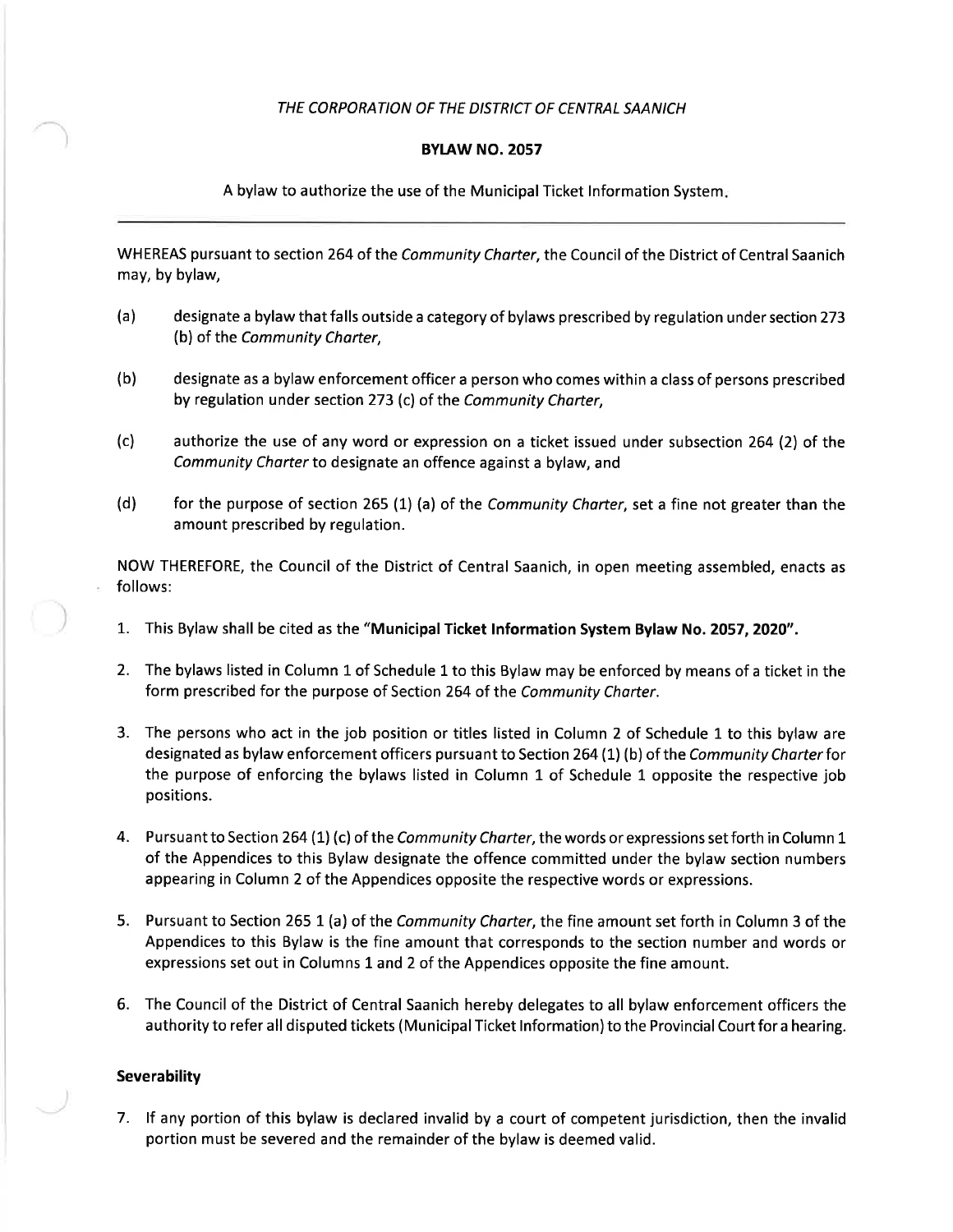#### THE CORPORATION OF THE DISTRICT OF CENTRAL SAANICH

#### **BYLAW NO. 2057**

A bylaw to authorize the use of the Municipal Ticket lnformation System

WHEREAS pursuant to section 264 of the Community Charter, the Council of the District of Central Saanich may, by bylaw,

- (a) designate a bylaw that falls outside a category of bylaws prescribed by regulation under section2T3 (b) of the Community Charter,
- (b) designate as a bylaw enforcement officer a person who comes within a class of persons prescribed by regulation under section 273 (c) of the Community Charter,
- (c) authorize the use of any word or expression on a ticket issued under subsection 264 (2) of the Community Charter to designate an offence against a bylaw, and
- (d) for the purpose of section 265 (1) (a) of the Community Charter, set a fine not greater than the amount prescribed by regulation.

NOW THEREFORE, the Council of the District of Central Saanich, in open meeting assembled, enacts as follows:

- 1. This Bylaw shall be cited as the "Municipal Ticket lnformation System Bylaw No. 2057, 2O2O".
- 2. The bylaws listed in Column 1 of Schedule 1 to this Bylaw may be enforced by means of a ticket in the form prescribed for the purpose of Section 264 of the Community Charter.
- 3. The persons who act in the job position or titles listed in Column 2 of Schedule 1 to this bylaw are designated as bylaw enforcement officers pursuant to Section 264 (1) (b) of the Community Charter for the purpose of enforcing the bylaws listed in Column 1 of Schedule 1 opposite the respective job positions.
- 4. Pursuant to Section 264 (1) (c) of the Community Charter, the words or expressions set forth in Column 1 of the Appendices to this Bylaw designate the offence committed under the bylaw section numbers appearing in Column 2 of the Appendices opposite the respective words or expressions.
- 5. Pursuant to Section 265 1 (a) of the Community Charter, the fine amount set forth in Column 3 of the Appendices to this Bylaw is the fine amount that corresponds to the section number and words or expressions set out in Columns 1 and 2 of the Appendices opposite the fine amount.
- 6. The Council of the District of Central Saanich hereby delegates to all bylaw enforcement officers the authority to refer all disputed tickets (Municipal Ticket lnformation) to the Provincial Court for a hearing.

#### Severability

7. lf any portion of this bylaw is declared invalid by a court of competent jurisdiction, then the invalid portion must be severed and the remainder of the bylaw is deemed valid.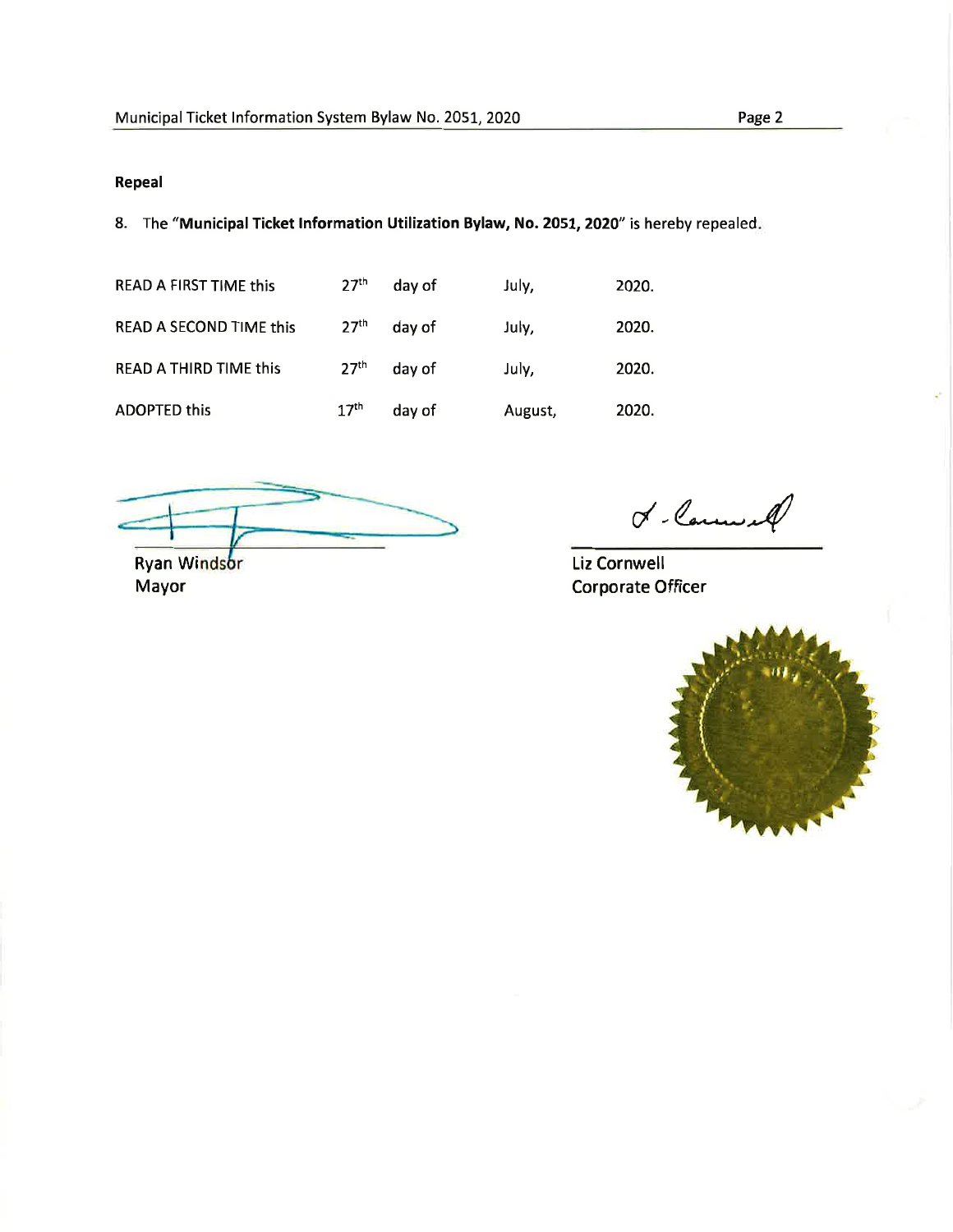### Repeal

8. The "Municipal Ticket Information Utilization Bylaw, No. 2051, 2020" is hereby repealed.

| <b>READ A FIRST TIME this</b>  | 27 <sup>th</sup> | day of | July,   | 2020. |
|--------------------------------|------------------|--------|---------|-------|
| <b>READ A SECOND TIME this</b> | 27 <sup>th</sup> | day of | July,   | 2020. |
| <b>READ A THIRD TIME this</b>  | 27 <sup>th</sup> | day of | July,   | 2020. |
| <b>ADOPTED this</b>            | 17 <sup>th</sup> | day of | August, | 2020. |

Ryan Windsor

Mayor

 $c'$ -Carnes et

Liz Cornwell Corporate Officer

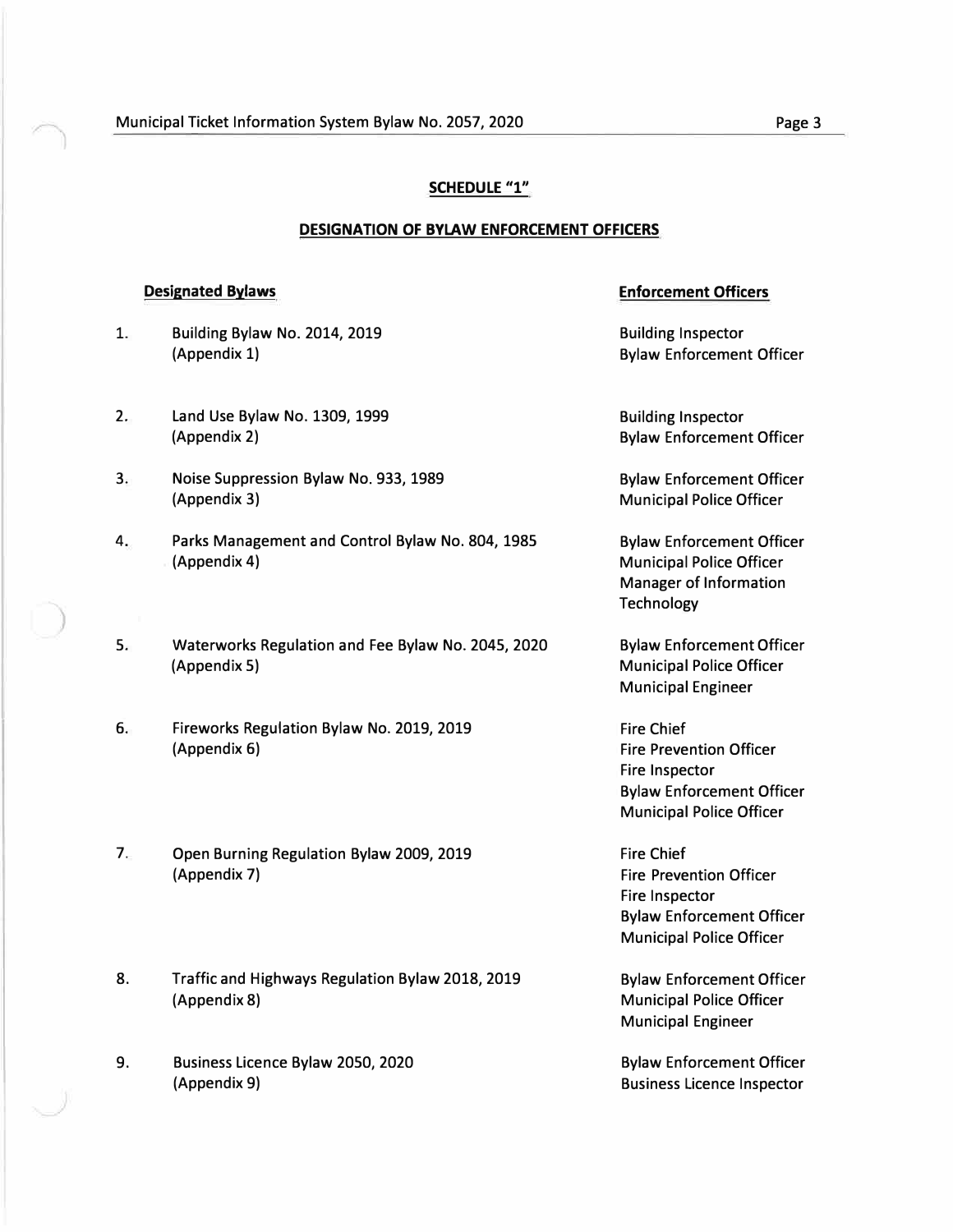#### **SCHEDULE "1"**

#### **DESIGNATION OF BYLAW ENFORCEMENT OFFICERS**

# **Designated Bylaws Enforcement Officers**  1. Building Bylaw No. 2014, 2019<br>
(Appendix 1) Building Inspector<br>
Bylaw Enforcemen **Bylaw Enforcement Officer** 2. Land Use Bylaw No. 1309, 1999 **Building Inspector** Building Inspector (Appendix 2) Bylaw Enforcement Officer 3. Noise Suppression Bylaw No. 933, 1989 Bylaw Enforcement Officer (Appendix 3) **Municipal Police Officer** 4. Parks Management and Control Bylaw No. 804, 1985 Bylaw Enforcement Officer (Appendix 4) **Municipal Police Officer** Manager of Information **Technology** 5. Waterworks Regulation and Fee Bylaw No. 2045, 2020 Bylaw Enforcement Officer (Appendix 5) Municipal Police Officer Municipal Engineer 6. Fireworks Regulation Bylaw No. 2019, 2019 (Appendix 6) **Fire Prevention Officer Fire Prevention Officer** Fire Inspector Bylaw Enforcement Officer Municipal Police Officer 7. Open Burning Regulation Bylaw 2009, 2019 Fire Chief (Appendix 7) Fire Prevention Officer Fire Inspector Bylaw Enforcement Officer Municipal Police Officer 8. Traffic and Highways Regulation Bylaw 2018, 2019 Bylaw Enforcement Officer (Appendix 8) **Municipal Police Officer** Municipal Engineer

9. Business Licence Bylaw 2050, 2020 Bylaw Enforcement Officer (Appendix 9) and a settlement of the Business Licence Inspector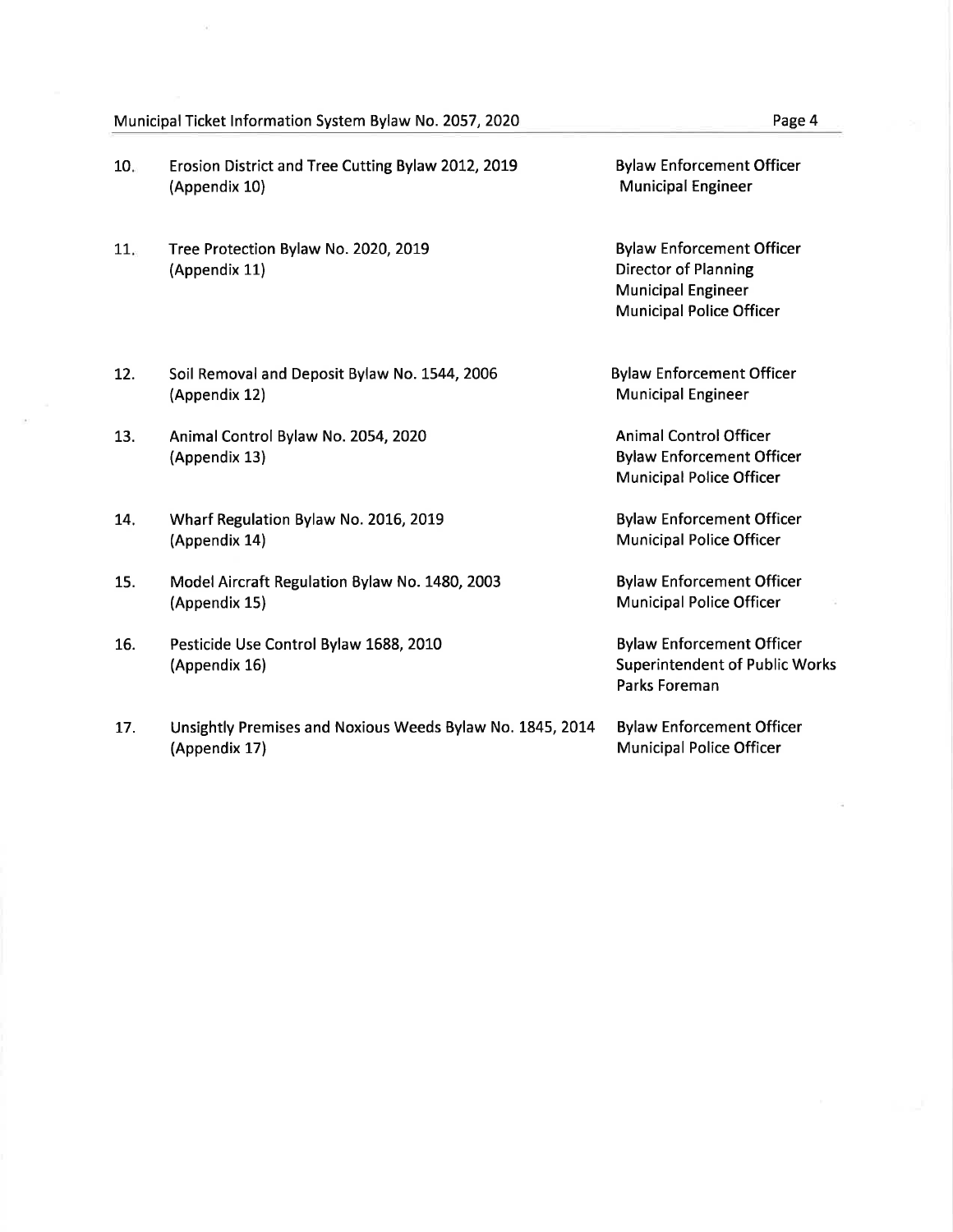#### Municipal Ticket Information System Bylaw No. 2057, 2020 Page 4

- 10 Erosion District and Tree Cutting Bylaw 2012, 2019 (Appendix 10)
- $11.$ Tree Protection Bylaw No. 2020, 2019 (Appendix 11)
- Soil Removal and Deposit Bylaw No. 1544, 2006 (Appendix 12) L2.
- Animal Control Bylaw No. 2054, 2020 (Appendix 13) 13.
- Wharf Regulation Bylaw No. 2016, 2019 (Appendix 14) 14.
- Model Aircraft Regulation Bylaw No. 1480, 2003 (Appendix 15) 15.
- Pesticide Use Control Bylaw 1688, 2010 (Appendix 16) 16.
- Unsightly Premises and Noxious Weeds Bylaw No. 1845, 20L4 (Appendix 17) 17.

Bylaw Enforcement Officer Municipal Engineer

Bylaw Enforcement Officer Director of Planning Municipal Engineer Municipal Police Officer

Bylaw Enforcement Officer Municipal Engineer

Animal Control Officer Bylaw Enforcement Officer Municipal Police Officer

Bylaw Enforcement Officer Municipal Police Officer

Bylaw Enforcement Officer Municipal Police Officer

Bylaw Enforcement Officer Superintendent of Public Works Parks Foreman

Bylaw Enforcement Officer Municipal Police Officer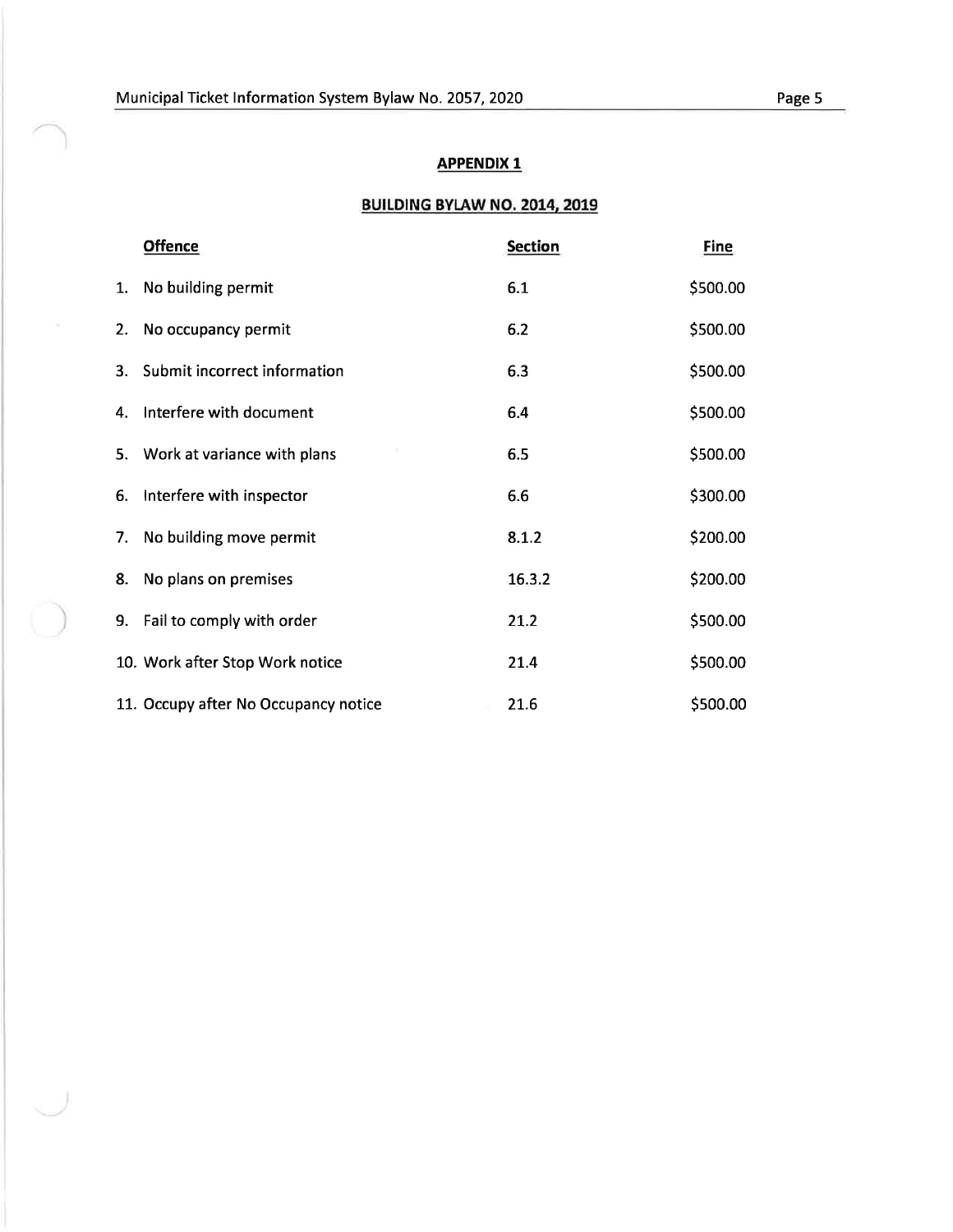### BUILDING BYIAW NO. 2014, 2019

|    | <b>Offence</b>                       | <b>Section</b> | <b>Fine</b> |
|----|--------------------------------------|----------------|-------------|
| 1. | No building permit                   | 6.1            | \$500.00    |
| 2. | No occupancy permit                  | 6.2            | \$500.00    |
| 3. | Submit incorrect information         | 6.3            | \$500.00    |
| 4. | Interfere with document              | 6.4            | \$500.00    |
| 5. | Work at variance with plans          | 6.5            | \$500.00    |
| 6. | Interfere with inspector             | 6.6            | \$300.00    |
| 7. | No building move permit              | 8.1.2          | \$200.00    |
| 8. | No plans on premises                 | 16.3.2         | \$200.00    |
|    | 9. Fail to comply with order         | 21.2           | \$500.00    |
|    | 10. Work after Stop Work notice      | 21.4           | \$500.00    |
|    | 11. Occupy after No Occupancy notice | 21.6           | \$500.00    |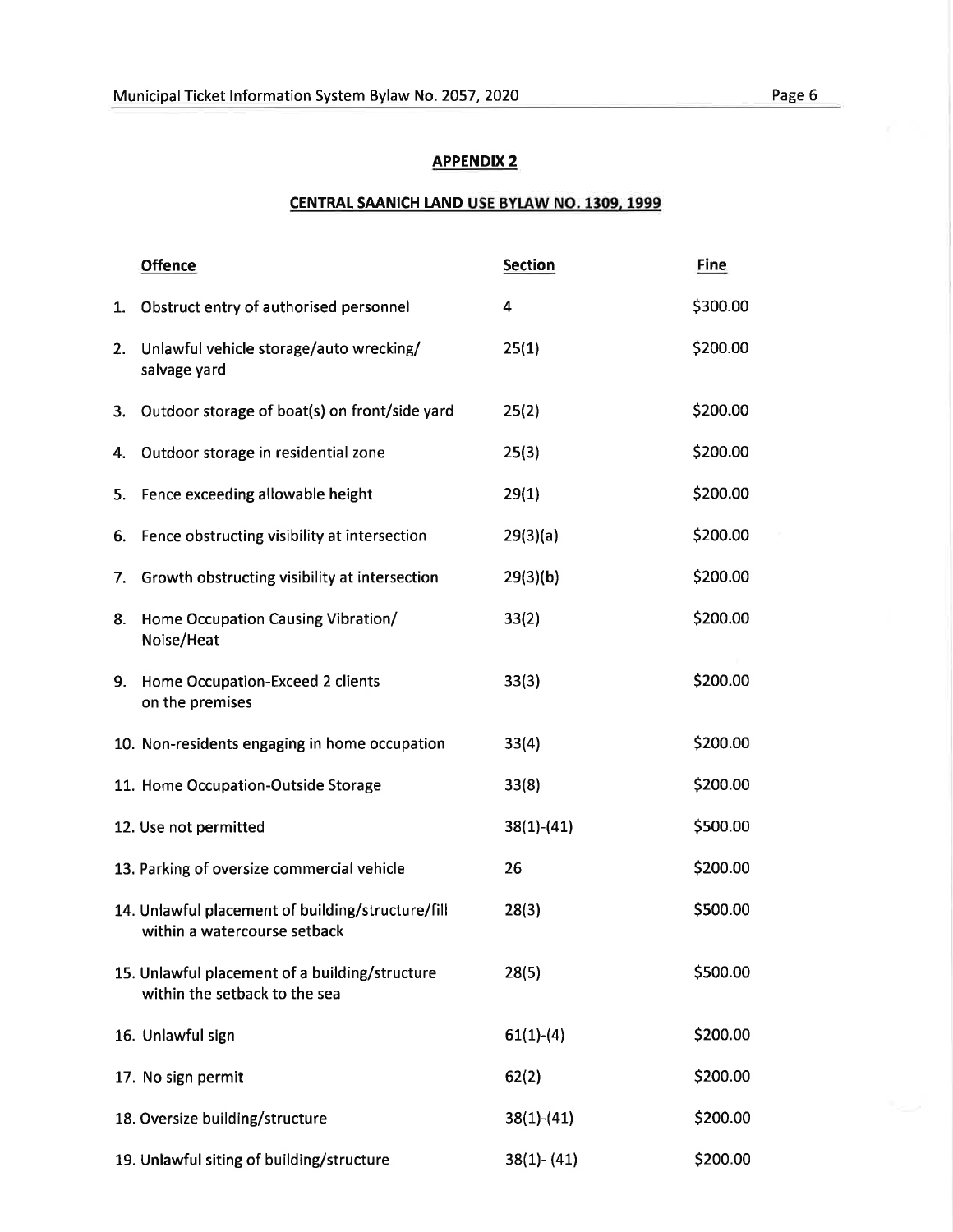#### CENTRAL SAANICH LAND USE BYLAW NO. 1309, 1999

|    | <b>Offence</b>                                                                    | <b>Section</b> | <b>Fine</b> |
|----|-----------------------------------------------------------------------------------|----------------|-------------|
| 1. | Obstruct entry of authorised personnel                                            | 4              | \$300.00    |
| 2. | Unlawful vehicle storage/auto wrecking/<br>salvage yard                           | 25(1)          | \$200.00    |
| 3. | Outdoor storage of boat(s) on front/side yard                                     | 25(2)          | \$200.00    |
| 4. | Outdoor storage in residential zone                                               | 25(3)          | \$200.00    |
| 5. | Fence exceeding allowable height                                                  | 29(1)          | \$200.00    |
| 6. | Fence obstructing visibility at intersection                                      | 29(3)(a)       | \$200.00    |
| 7. | Growth obstructing visibility at intersection                                     | 29(3)(b)       | \$200.00    |
| 8. | Home Occupation Causing Vibration/<br>Noise/Heat                                  | 33(2)          | \$200.00    |
| 9. | Home Occupation-Exceed 2 clients<br>on the premises                               | 33(3)          | \$200.00    |
|    | 10. Non-residents engaging in home occupation                                     | 33(4)          | \$200.00    |
|    | 11. Home Occupation-Outside Storage                                               | 33(8)          | \$200.00    |
|    | 12. Use not permitted                                                             | $38(1)-(41)$   | \$500.00    |
|    | 13. Parking of oversize commercial vehicle                                        | 26             | \$200.00    |
|    | 14. Unlawful placement of building/structure/fill<br>within a watercourse setback | 28(3)          | \$500.00    |
|    | 15. Unlawful placement of a building/structure<br>within the setback to the sea   | 28(5)          | \$500.00    |
|    | 16. Unlawful sign                                                                 | $61(1)-(4)$    | \$200.00    |
|    | 17. No sign permit                                                                | 62(2)          | \$200.00    |
|    | 18. Oversize building/structure                                                   | $38(1)-(41)$   | \$200.00    |
|    | 19. Unlawful siting of building/structure                                         | $38(1) - (41)$ | \$200.00    |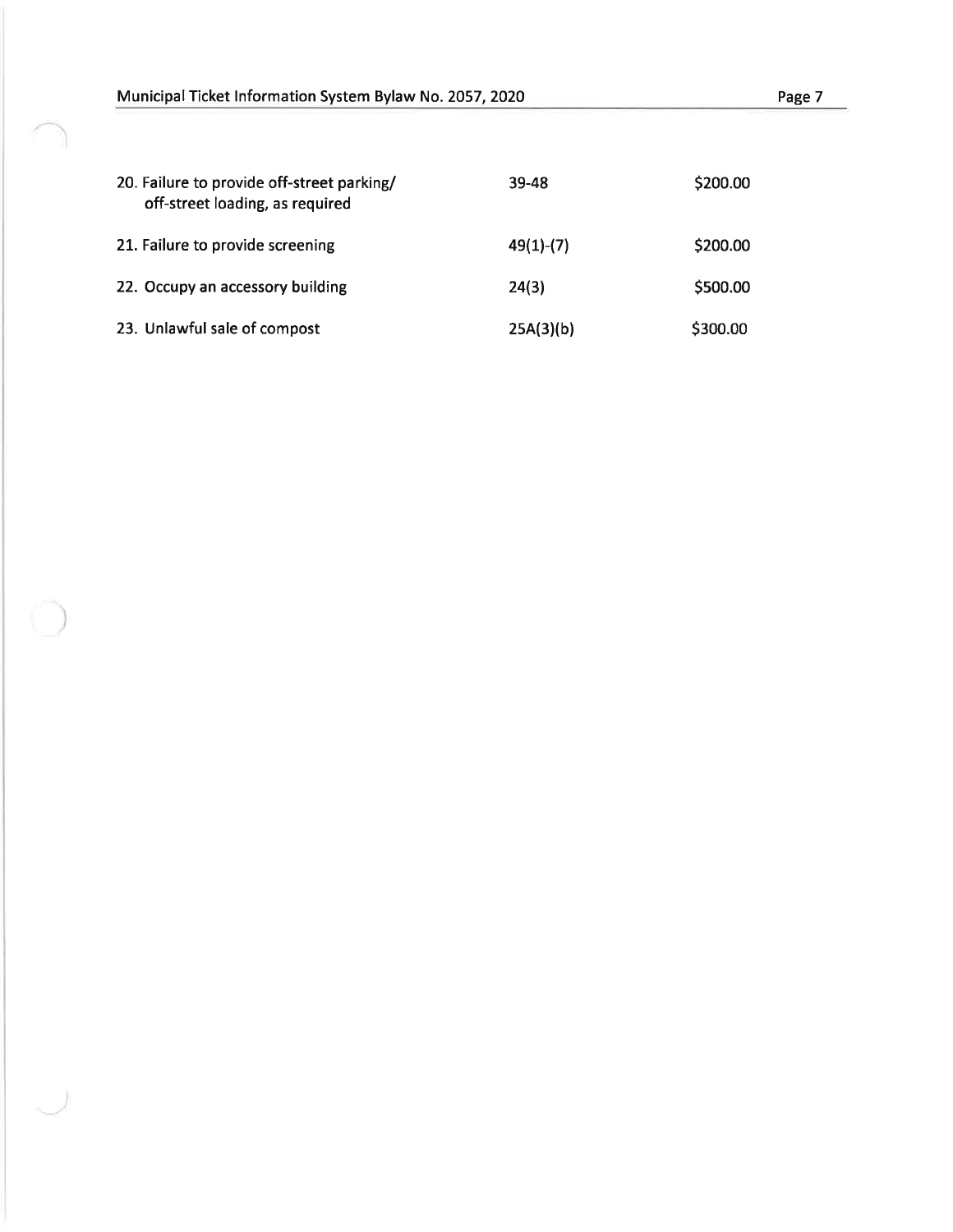| 20. Failure to provide off-street parking/<br>off-street loading, as required | 39-48       | \$200.00 |
|-------------------------------------------------------------------------------|-------------|----------|
| 21. Failure to provide screening                                              | $49(1)-(7)$ | \$200.00 |
| 22. Occupy an accessory building                                              | 24(3)       | \$500.00 |
| 23. Unlawful sale of compost                                                  | 25A(3)(b)   | \$300.00 |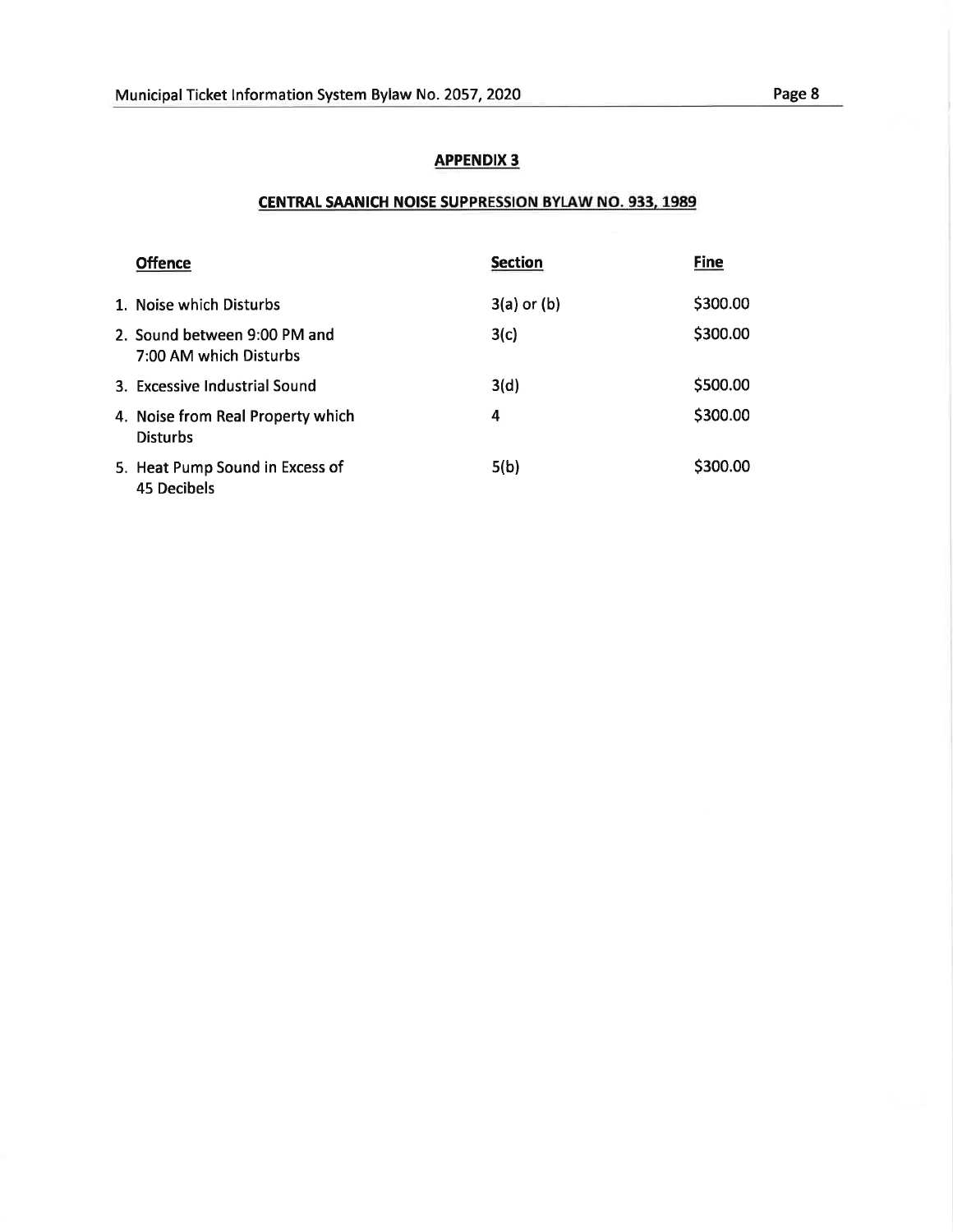### CENTRAL SAANICH NOISE SUPPRESSION BYLAW NO. 933, 1989

| <b>Offence</b>                                         | <b>Section</b>  | Fine     |
|--------------------------------------------------------|-----------------|----------|
| 1. Noise which Disturbs                                | $3(a)$ or $(b)$ | \$300.00 |
| 2. Sound between 9:00 PM and<br>7:00 AM which Disturbs | 3(c)            | \$300.00 |
| 3. Excessive Industrial Sound                          | 3(d)            | \$500.00 |
| 4. Noise from Real Property which<br><b>Disturbs</b>   | 4               | \$300.00 |
| 5. Heat Pump Sound in Excess of<br><b>45 Decibels</b>  | 5(b)            | \$300.00 |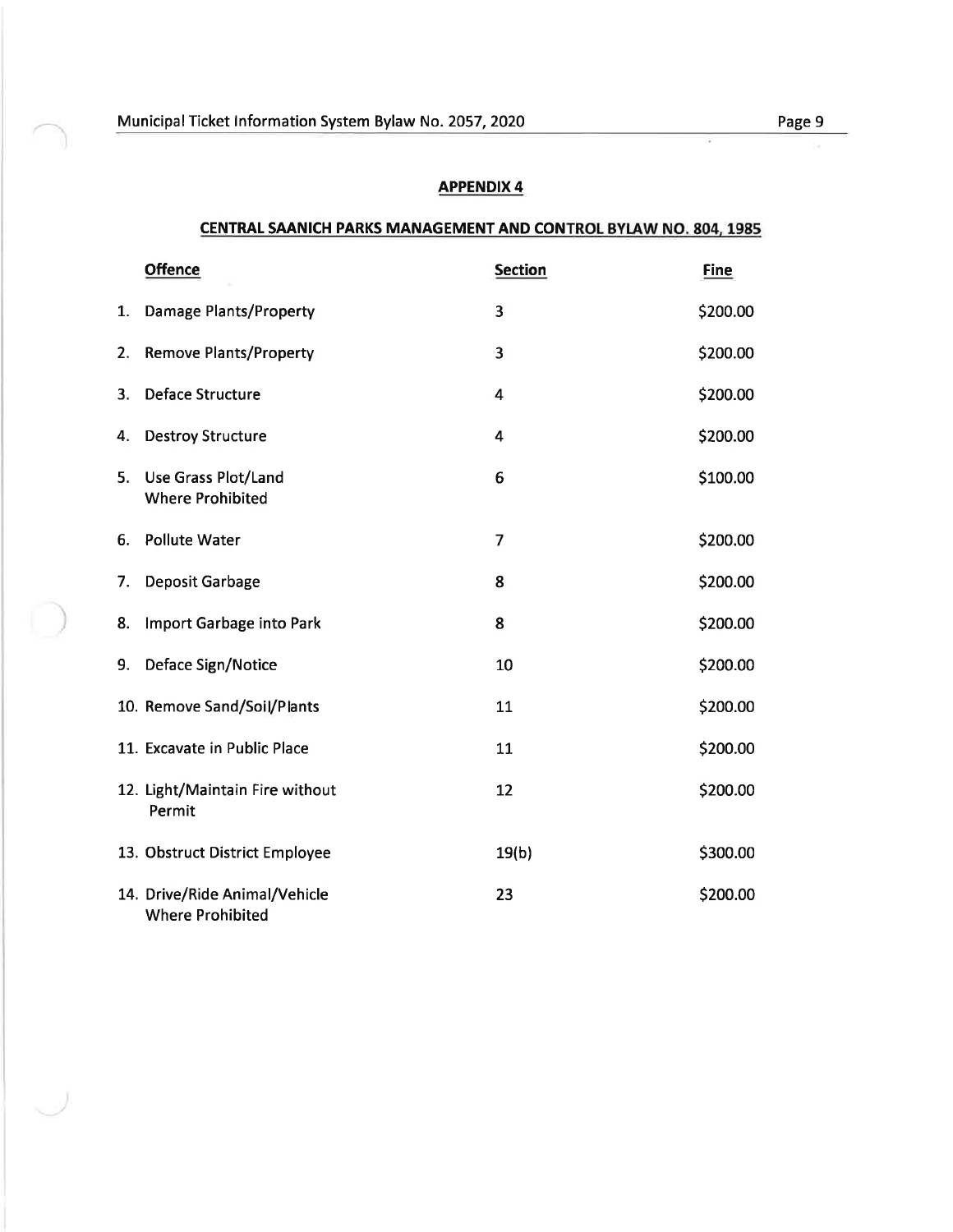#### CENTRAL SAANICH PARKS MANAGEMENT AND CONTROL BYLAW NO. 804, 1985

|    | <b>Offence</b>                                           | <b>Section</b> | <b>Fine</b> |
|----|----------------------------------------------------------|----------------|-------------|
| 1. | <b>Damage Plants/Property</b>                            | 3              | \$200.00    |
| 2. | <b>Remove Plants/Property</b>                            | 3              | \$200.00    |
| 3. | <b>Deface Structure</b>                                  | 4              | \$200.00    |
| 4. | <b>Destroy Structure</b>                                 | 4              | \$200.00    |
| 5. | <b>Use Grass Plot/Land</b><br><b>Where Prohibited</b>    | 6              | \$100.00    |
| 6. | <b>Pollute Water</b>                                     | 7              | \$200.00    |
| 7. | Deposit Garbage                                          | 8              | \$200.00    |
| 8. | Import Garbage into Park                                 | 8              | \$200.00    |
| 9. | Deface Sign/Notice                                       | 10             | \$200.00    |
|    | 10. Remove Sand/Soil/Plants                              | 11             | \$200.00    |
|    | 11. Excavate in Public Place                             | 11             | \$200.00    |
|    | 12. Light/Maintain Fire without<br>Permit                | 12             | \$200.00    |
|    | 13. Obstruct District Employee                           | 19(b)          | \$300.00    |
|    | 14. Drive/Ride Animal/Vehicle<br><b>Where Prohibited</b> | 23             | \$200.00    |

T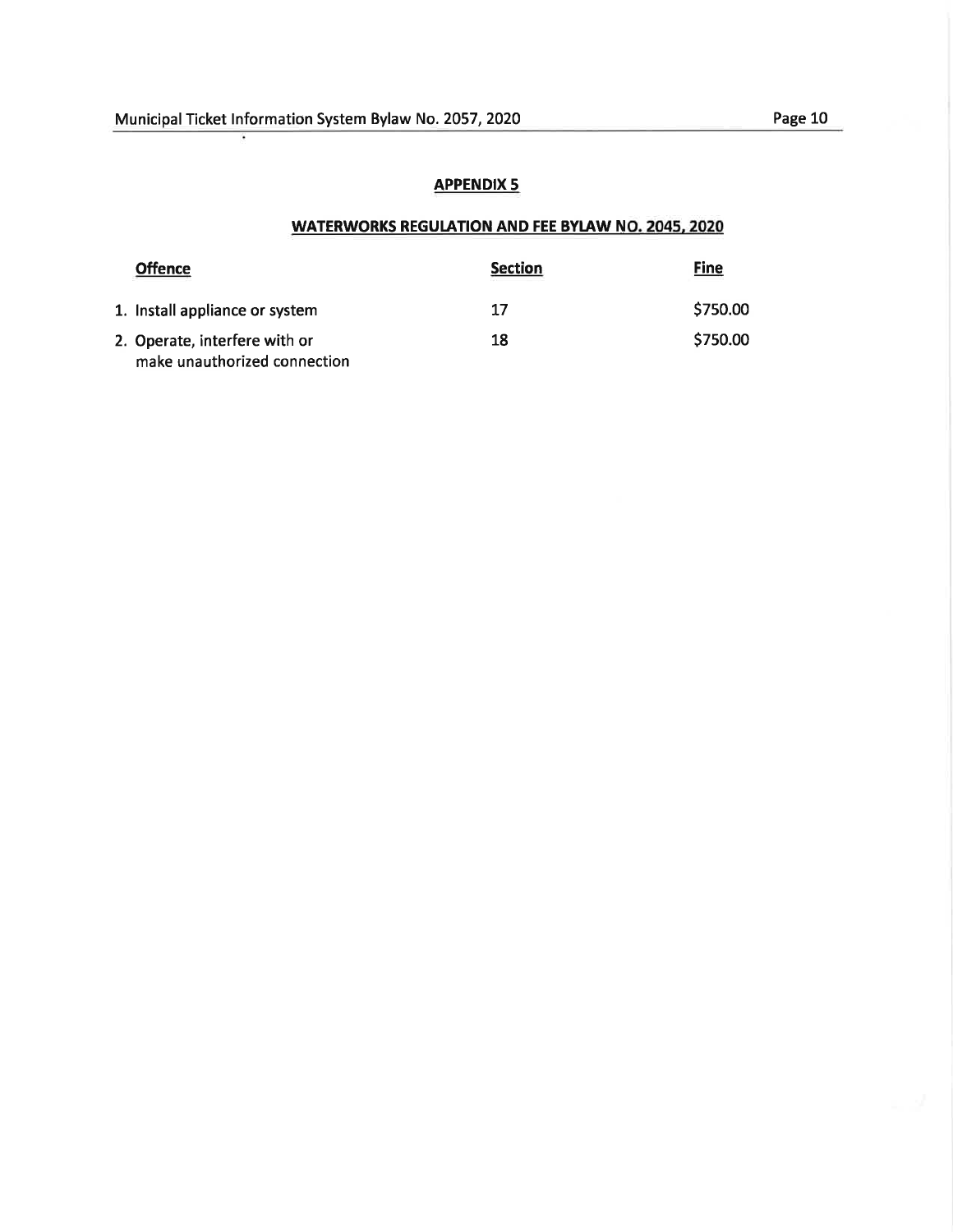# WATERWORKS REGUIATION AND FEE BYLAW NO.2045,2O2O

| <b>Offence</b>                                                | <b>Section</b> | <b>Fine</b> |
|---------------------------------------------------------------|----------------|-------------|
| 1. Install appliance or system                                | 17             | \$750.00    |
| 2. Operate, interfere with or<br>make unauthorized connection | 18             | \$750.00    |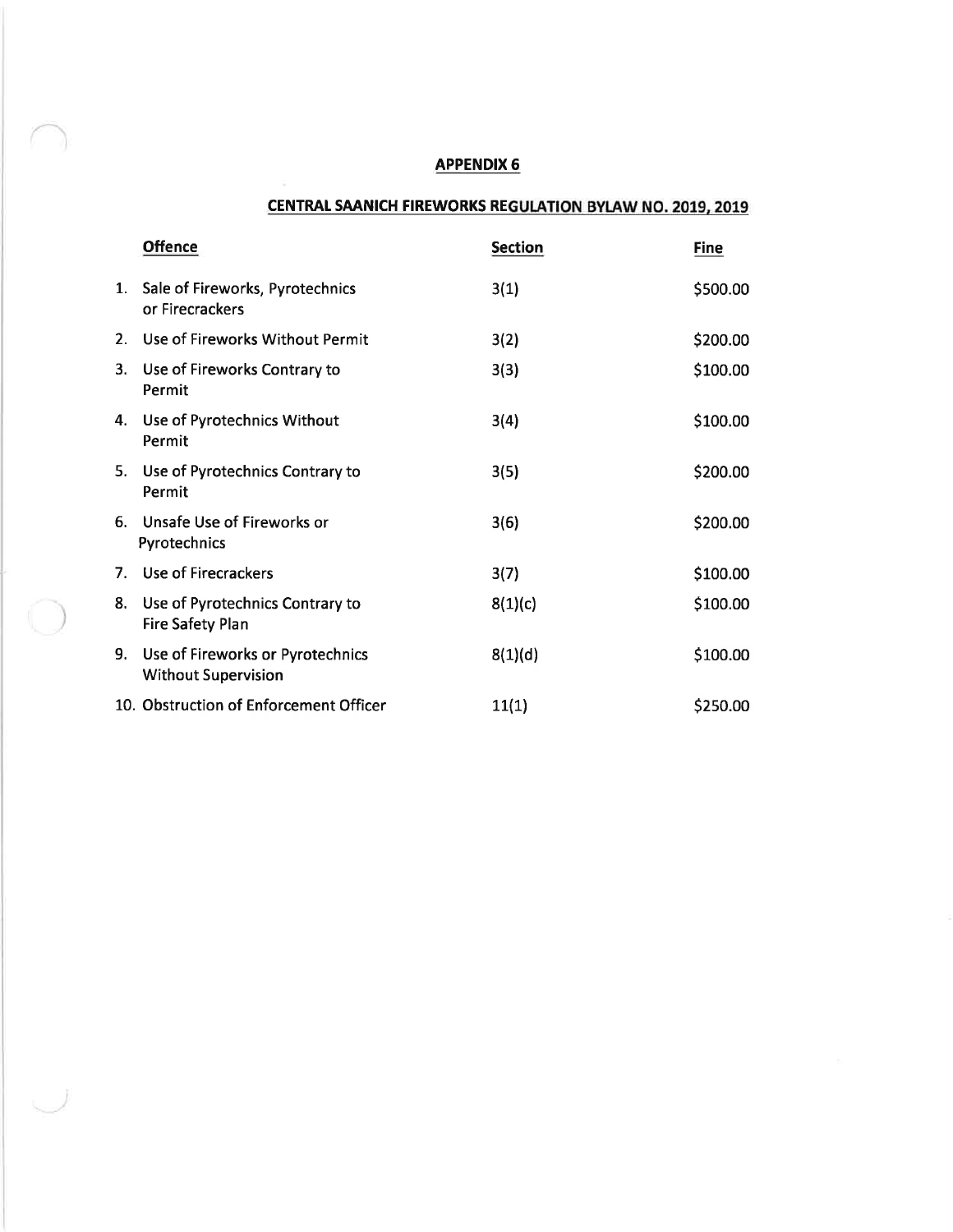### CENTRAL SAANICH FIREWORKS REGULATION BYLAW NO. 2019, 2019

|             | <b>Offence</b>                                                 | <b>Section</b> | <b>Fine</b> |
|-------------|----------------------------------------------------------------|----------------|-------------|
|             | 1. Sale of Fireworks, Pyrotechnics<br>or Firecrackers          | 3(1)           | \$500.00    |
|             | 2. Use of Fireworks Without Permit                             | 3(2)           | \$200.00    |
| 3.          | Use of Fireworks Contrary to<br>Permit                         | 3(3)           | \$100.00    |
| 4.          | Use of Pyrotechnics Without<br>Permit                          | 3(4)           | \$100.00    |
|             | 5. Use of Pyrotechnics Contrary to<br>Permit                   | 3(5)           | \$200.00    |
| 6.          | Unsafe Use of Fireworks or<br>Pyrotechnics                     | 3(6)           | \$200.00    |
| $7_{\cdot}$ | Use of Firecrackers                                            | 3(7)           | \$100.00    |
| 8.          | Use of Pyrotechnics Contrary to<br><b>Fire Safety Plan</b>     | 8(1)(c)        | \$100.00    |
| 9.          | Use of Fireworks or Pyrotechnics<br><b>Without Supervision</b> | 8(1)(d)        | \$100.00    |
|             | 10. Obstruction of Enforcement Officer                         | 11(1)          | \$250.00    |

 $\bigcirc$ 

 $\cup$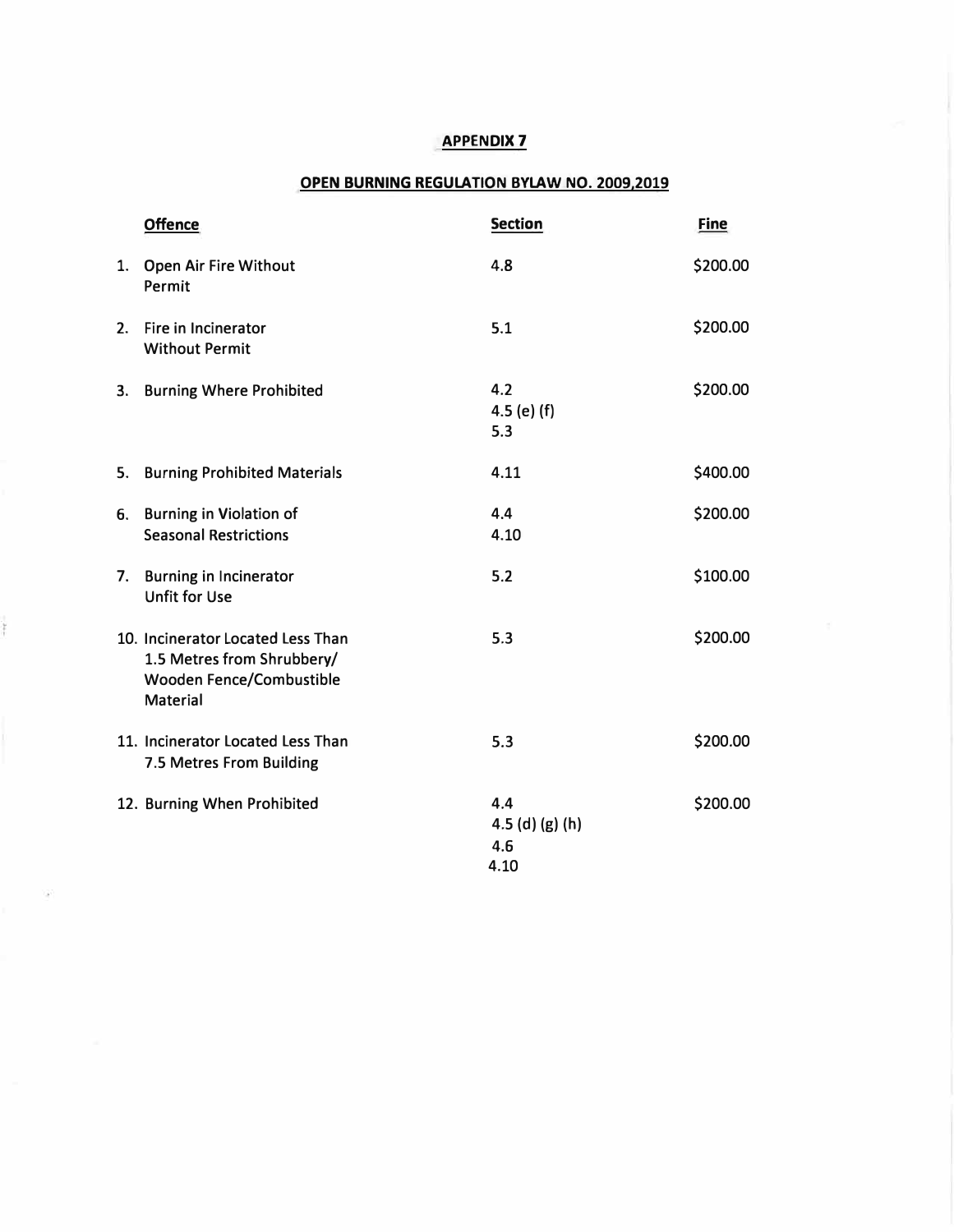#### **OPEN BURNING REGULATION BYLAW NO. 2009,2019**

|    | <b>Offence</b>                                                                                                 | <b>Section</b>                          | <b>Fine</b> |
|----|----------------------------------------------------------------------------------------------------------------|-----------------------------------------|-------------|
|    | 1. Open Air Fire Without<br>Permit                                                                             | 4.8                                     | \$200.00    |
|    | 2. Fire in Incinerator<br><b>Without Permit</b>                                                                | 5.1                                     | \$200.00    |
|    | 3. Burning Where Prohibited                                                                                    | 4.2<br>$4.5$ (e) (f)<br>5.3             | \$200.00    |
| 5. | <b>Burning Prohibited Materials</b>                                                                            | 4.11                                    | \$400.00    |
|    | 6. Burning in Violation of<br><b>Seasonal Restrictions</b>                                                     | 4.4<br>4.10                             | \$200.00    |
|    | 7. Burning in Incinerator<br><b>Unfit for Use</b>                                                              | 5.2                                     | \$100.00    |
|    | 10. Incinerator Located Less Than<br>1.5 Metres from Shrubbery/<br>Wooden Fence/Combustible<br><b>Material</b> | 5.3                                     | \$200.00    |
|    | 11. Incinerator Located Less Than<br>7.5 Metres From Building                                                  | 5.3                                     | \$200.00    |
|    | 12. Burning When Prohibited                                                                                    | 4.4<br>$4.5$ (d) (g) (h)<br>4.6<br>4.10 | \$200.00    |

ŗ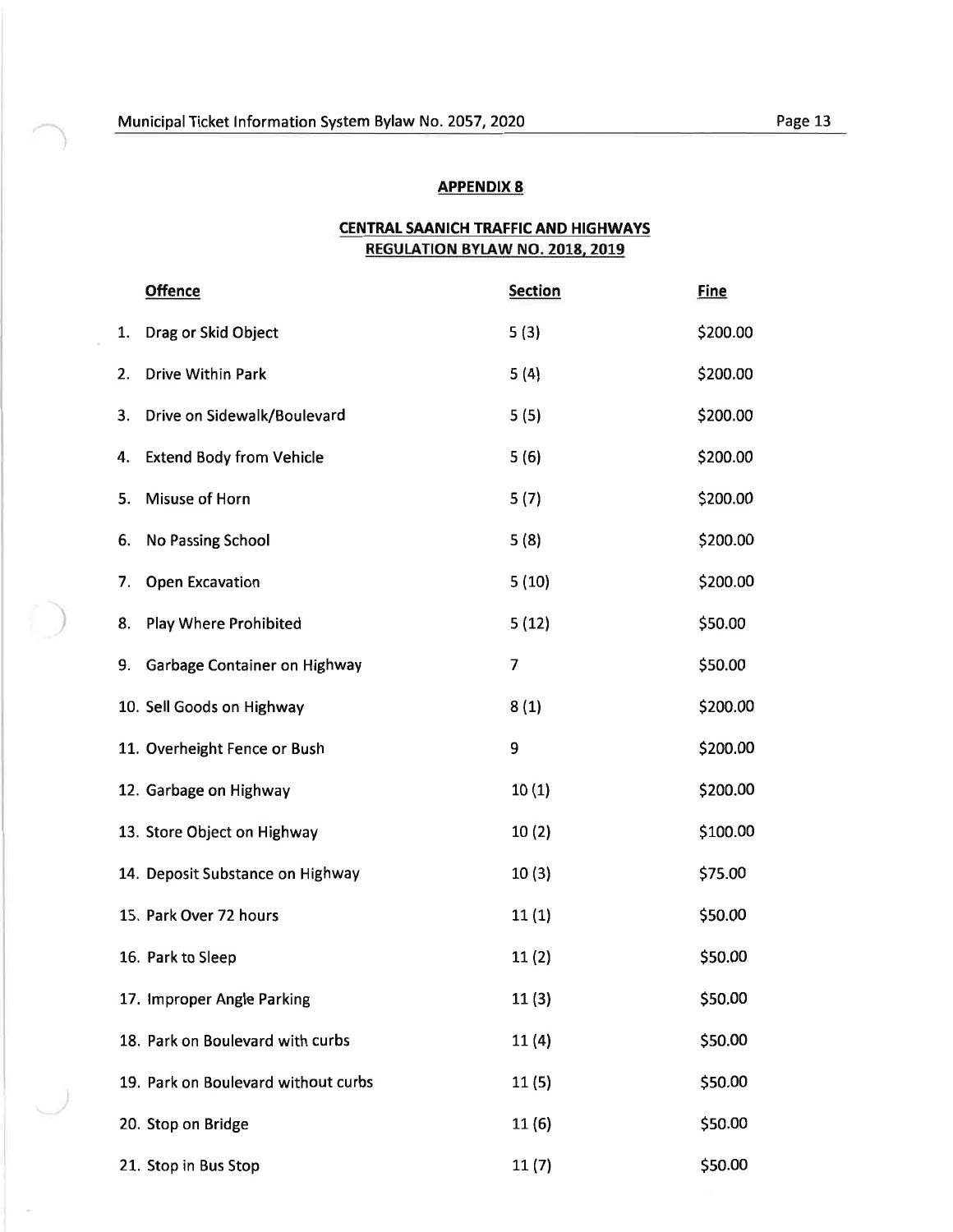#### **CENTRAL SAANICH TRAFFIC AND HIGHWAYS** REGULATION BYLAW NO. 2018, 2019

|    | <b>Offence</b>                      | <b>Section</b> | <b>Fine</b> |
|----|-------------------------------------|----------------|-------------|
| 1. | Drag or Skid Object                 | 5(3)           | \$200.00    |
| 2. | Drive Within Park                   | 5(4)           | \$200.00    |
| 3. | Drive on Sidewalk/Boulevard         | 5(5)           | \$200.00    |
| 4. | <b>Extend Body from Vehicle</b>     | 5(6)           | \$200.00    |
| 5. | Misuse of Horn                      | 5(7)           | \$200.00    |
| 6. | No Passing School                   | 5(8)           | \$200.00    |
| 7. | <b>Open Excavation</b>              | 5(10)          | \$200.00    |
| 8. | Play Where Prohibited               | 5(12)          | \$50.00     |
| 9. | Garbage Container on Highway        | 7              | \$50.00     |
|    | 10. Sell Goods on Highway           | 8(1)           | \$200.00    |
|    | 11. Overheight Fence or Bush        | 9              | \$200.00    |
|    | 12. Garbage on Highway              | 10(1)          | \$200.00    |
|    | 13. Store Object on Highway         | 10(2)          | \$100.00    |
|    | 14. Deposit Substance on Highway    | 10(3)          | \$75.00     |
|    | 15. Park Over 72 hours              | 11(1)          | \$50.00     |
|    | 16. Park to Sleep                   | 11(2)          | \$50.00     |
|    | 17. Improper Angle Parking          | 11(3)          | \$50.00     |
|    | 18. Park on Boulevard with curbs    | 11(4)          | \$50.00     |
|    | 19. Park on Boulevard without curbs | 11 (5)         | \$50.00     |
|    | 20. Stop on Bridge                  | 11 (6)         | \$50.00     |
|    | 21. Stop in Bus Stop                | 11(7)          | \$50.00     |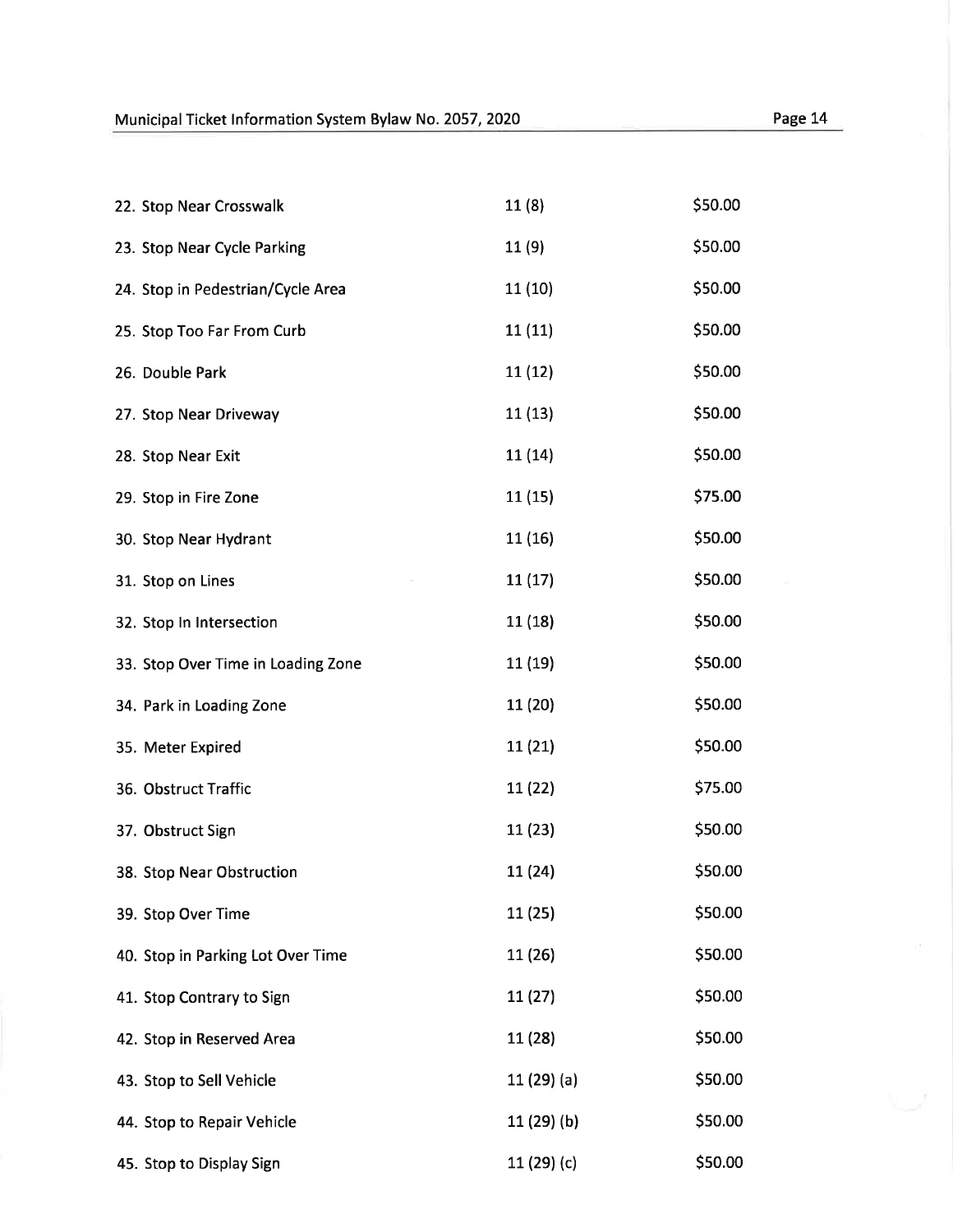| 22. Stop Near Crosswalk            | 11(8)        | \$50.00 |
|------------------------------------|--------------|---------|
| 23. Stop Near Cycle Parking        | 11(9)        | \$50.00 |
| 24. Stop in Pedestrian/Cycle Area  | 11(10)       | \$50.00 |
| 25. Stop Too Far From Curb         | 11(11)       | \$50.00 |
| 26. Double Park                    | 11(12)       | \$50.00 |
| 27. Stop Near Driveway             | 11(13)       | \$50.00 |
| 28. Stop Near Exit                 | 11 (14)      | \$50.00 |
| 29. Stop in Fire Zone              | 11 (15)      | \$75.00 |
| 30. Stop Near Hydrant              | 11 (16)      | \$50.00 |
| 31. Stop on Lines                  | 11(17)       | \$50.00 |
| 32. Stop In Intersection           | 11 (18)      | \$50.00 |
| 33. Stop Over Time in Loading Zone | 11 (19)      | \$50.00 |
| 34. Park in Loading Zone           | 11 (20)      | \$50.00 |
| 35. Meter Expired                  | 11(21)       | \$50.00 |
| 36. Obstruct Traffic               | 11 (22)      | \$75.00 |
| 37. Obstruct Sign                  | 11(23)       | \$50.00 |
| 38. Stop Near Obstruction          | 11 (24)      | \$50.00 |
| 39. Stop Over Time                 | 11(25)       | \$50.00 |
| 40. Stop in Parking Lot Over Time  | 11 (26)      | \$50.00 |
| 41. Stop Contrary to Sign          | 11 (27)      | \$50.00 |
| 42. Stop in Reserved Area          | 11 (28)      | \$50.00 |
| 43. Stop to Sell Vehicle           | $11(29)$ (a) | \$50.00 |
| 44. Stop to Repair Vehicle         | $11(29)$ (b) | \$50.00 |
| 45. Stop to Display Sign           | 11 (29) (c)  | \$50.00 |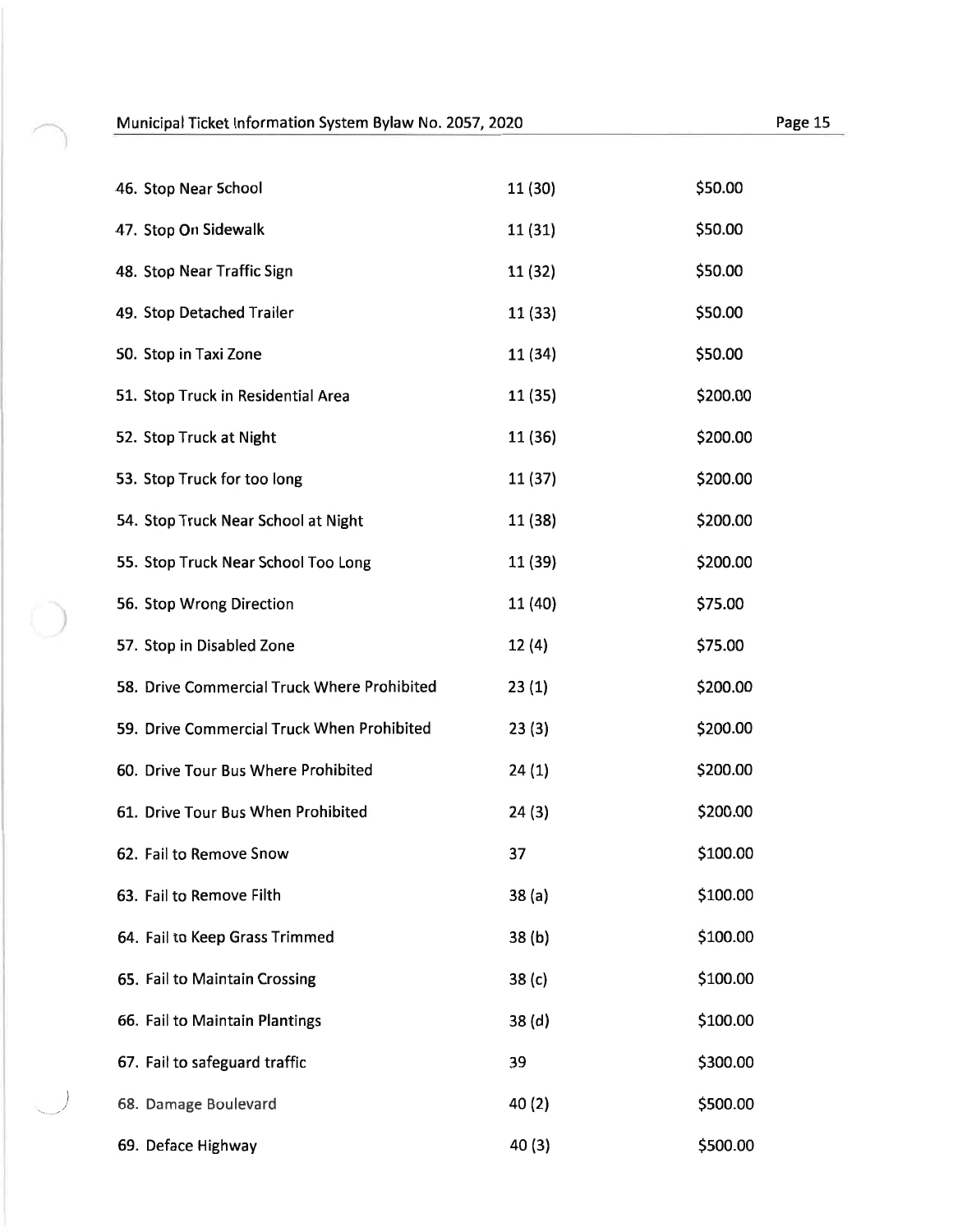$\bigcap$ 

| 46. Stop Near School                        | 11 (30)           | \$50.00  |
|---------------------------------------------|-------------------|----------|
| 47. Stop On Sidewalk                        | 11(31)            | \$50.00  |
| 48. Stop Near Traffic Sign                  | 11 (32)           | \$50.00  |
| 49. Stop Detached Trailer                   | 11 (33)           | \$50.00  |
| 50. Stop in Taxi Zone                       | 11 (34)           | \$50.00  |
| 51. Stop Truck in Residential Area          | 11 (35)           | \$200.00 |
| 52. Stop Truck at Night                     | 11 (36)           | \$200.00 |
| 53. Stop Truck for too long                 | 11 (37)           | \$200.00 |
| 54. Stop Truck Near School at Night         | 11 (38)           | \$200.00 |
| 55. Stop Truck Near School Too Long         | 11 (39)           | \$200.00 |
| 56. Stop Wrong Direction                    | 11 (40)           | \$75.00  |
| 57. Stop in Disabled Zone                   | 12(4)             | \$75.00  |
| 58. Drive Commercial Truck Where Prohibited | 23(1)             | \$200.00 |
| 59. Drive Commercial Truck When Prohibited  | 23(3)             | \$200.00 |
| 60. Drive Tour Bus Where Prohibited         | 24(1)             | \$200.00 |
| 61. Drive Tour Bus When Prohibited          | 24(3)             | \$200.00 |
| 62. Fail to Remove Snow                     | 37                | \$100.00 |
| 63. Fail to Remove Filth                    | 38(a)             | \$100.00 |
| 64. Fail to Keep Grass Trimmed              | 38(b)             | \$100.00 |
| 65. Fail to Maintain Crossing               | 38(c)             | \$100.00 |
| 66. Fail to Maintain Plantings              | 38 <sub>(d)</sub> | \$100.00 |
| 67. Fail to safeguard traffic               | 39                | \$300.00 |
| 68. Damage Boulevard                        | 40(2)             | \$500.00 |
| 69. Deface Highway                          | 40(3)             | \$500.00 |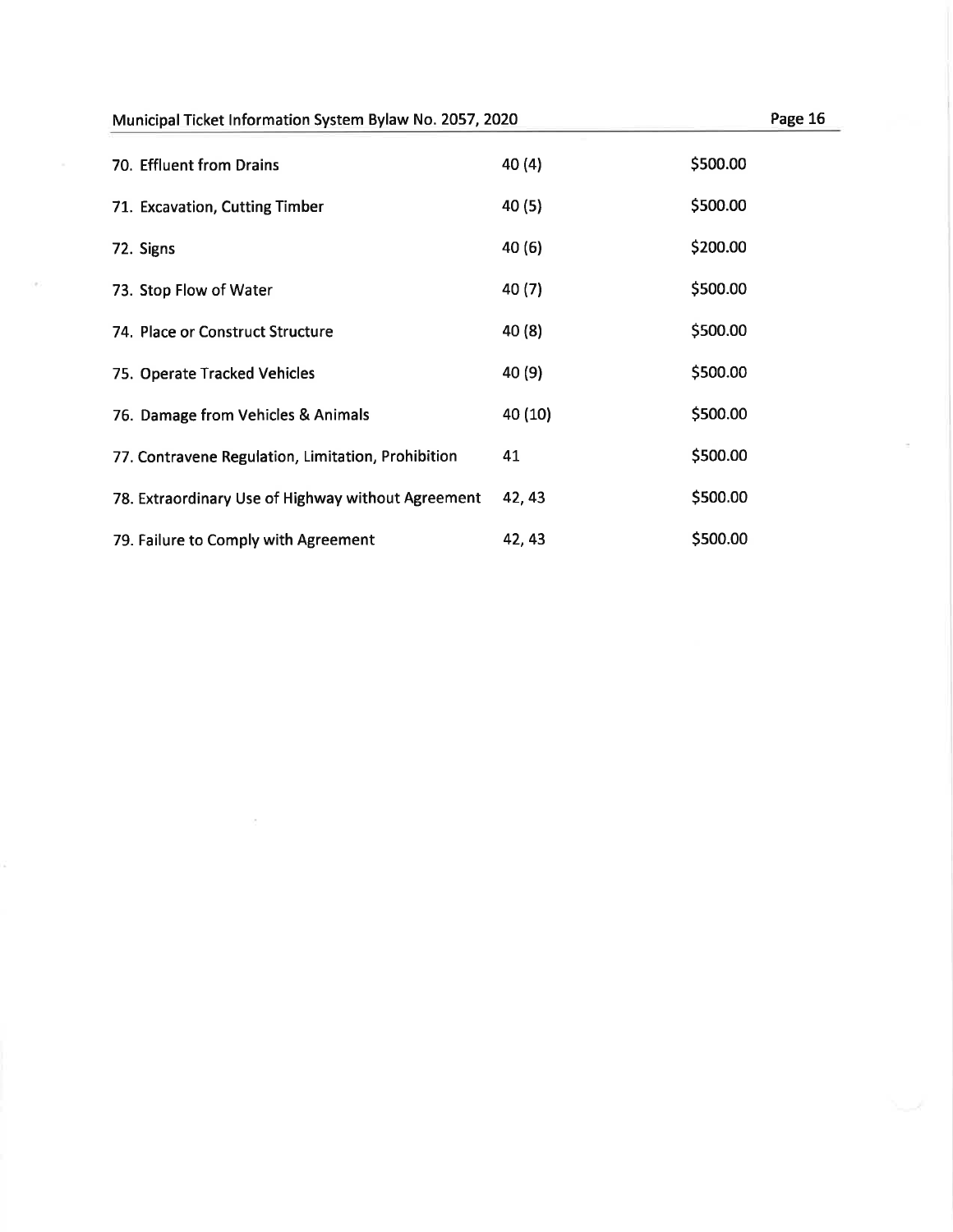| 70. Effluent from Drains                           | 40(4)   | \$500.00 |
|----------------------------------------------------|---------|----------|
| 71. Excavation, Cutting Timber                     | 40 (5)  | \$500.00 |
| 72. Signs                                          | 40 (6)  | \$200.00 |
| 73. Stop Flow of Water                             | 40 (7)  | \$500.00 |
| 74. Place or Construct Structure                   | 40 (8)  | \$500.00 |
| 75. Operate Tracked Vehicles                       | 40 (9)  | \$500.00 |
| 76. Damage from Vehicles & Animals                 | 40 (10) | \$500.00 |
| 77. Contravene Regulation, Limitation, Prohibition | 41      | \$500.00 |
| 78. Extraordinary Use of Highway without Agreement | 42, 43  | \$500.00 |
| 79. Failure to Comply with Agreement               | 42, 43  | \$500.00 |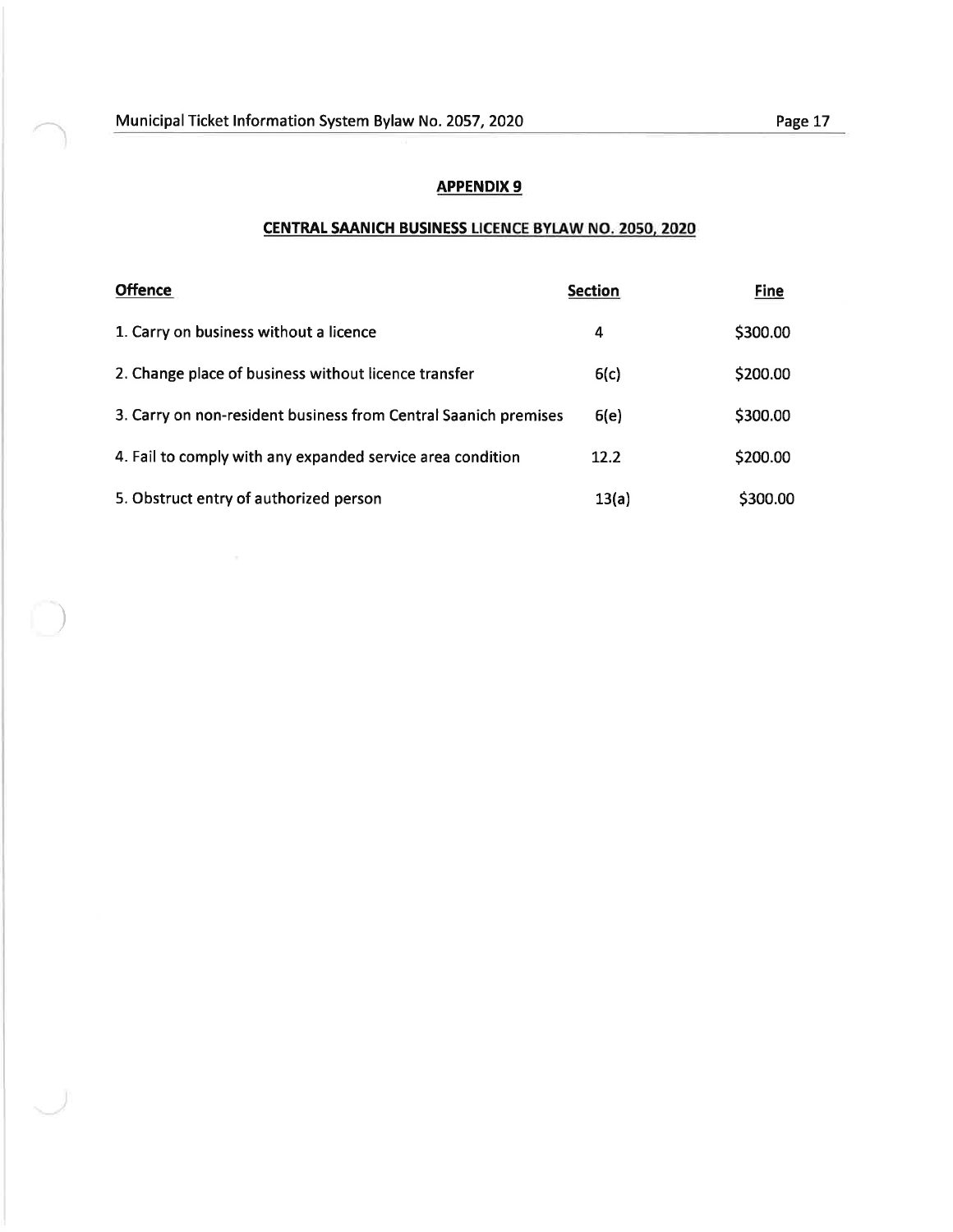)

### APPENDIX 9

### CENTRAL SAANICH BUSINESS LICENCE BYLAW NO. 2050, 2020

| <b>Offence</b>                                                  | <b>Section</b> | <b>Fine</b> |
|-----------------------------------------------------------------|----------------|-------------|
| 1. Carry on business without a licence                          | 4              | \$300.00    |
| 2. Change place of business without licence transfer            | 6(c)           | \$200.00    |
| 3. Carry on non-resident business from Central Saanich premises | 6(e)           | \$300.00    |
| 4. Fail to comply with any expanded service area condition      | 12.2           | \$200.00    |
| 5. Obstruct entry of authorized person                          | 13(a)          | \$300.00    |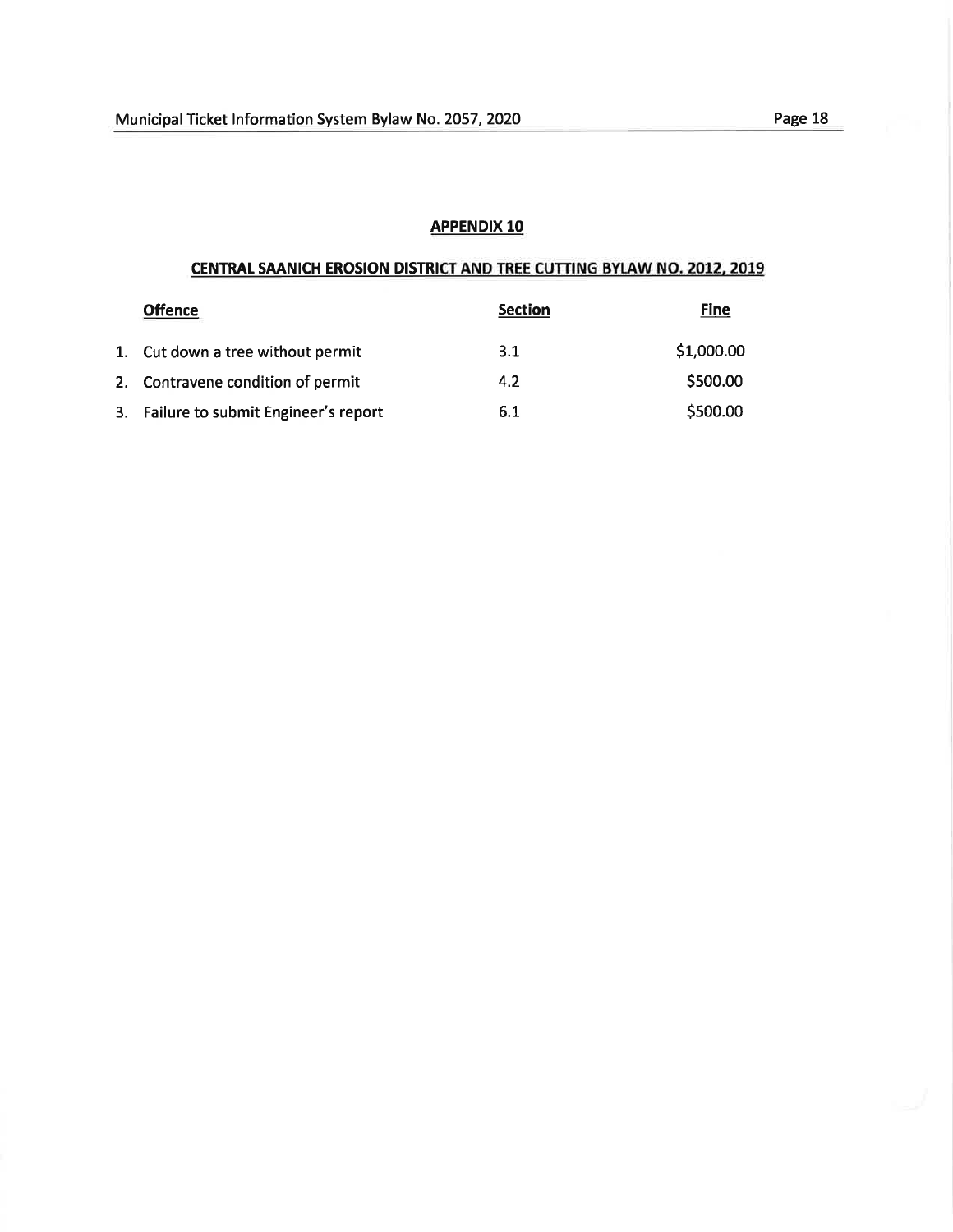### CENTRAL SAANICH EROSION DISTRICT AND TREE CUTTING BYIAW NO. 2012, 2019

| <b>Offence</b>                         | <b>Section</b> | <b>Fine</b> |
|----------------------------------------|----------------|-------------|
| 1. Cut down a tree without permit      | 3.1            | \$1,000.00  |
| 2. Contravene condition of permit      | 4.2            | \$500.00    |
| 3. Failure to submit Engineer's report | 6.1            | \$500.00    |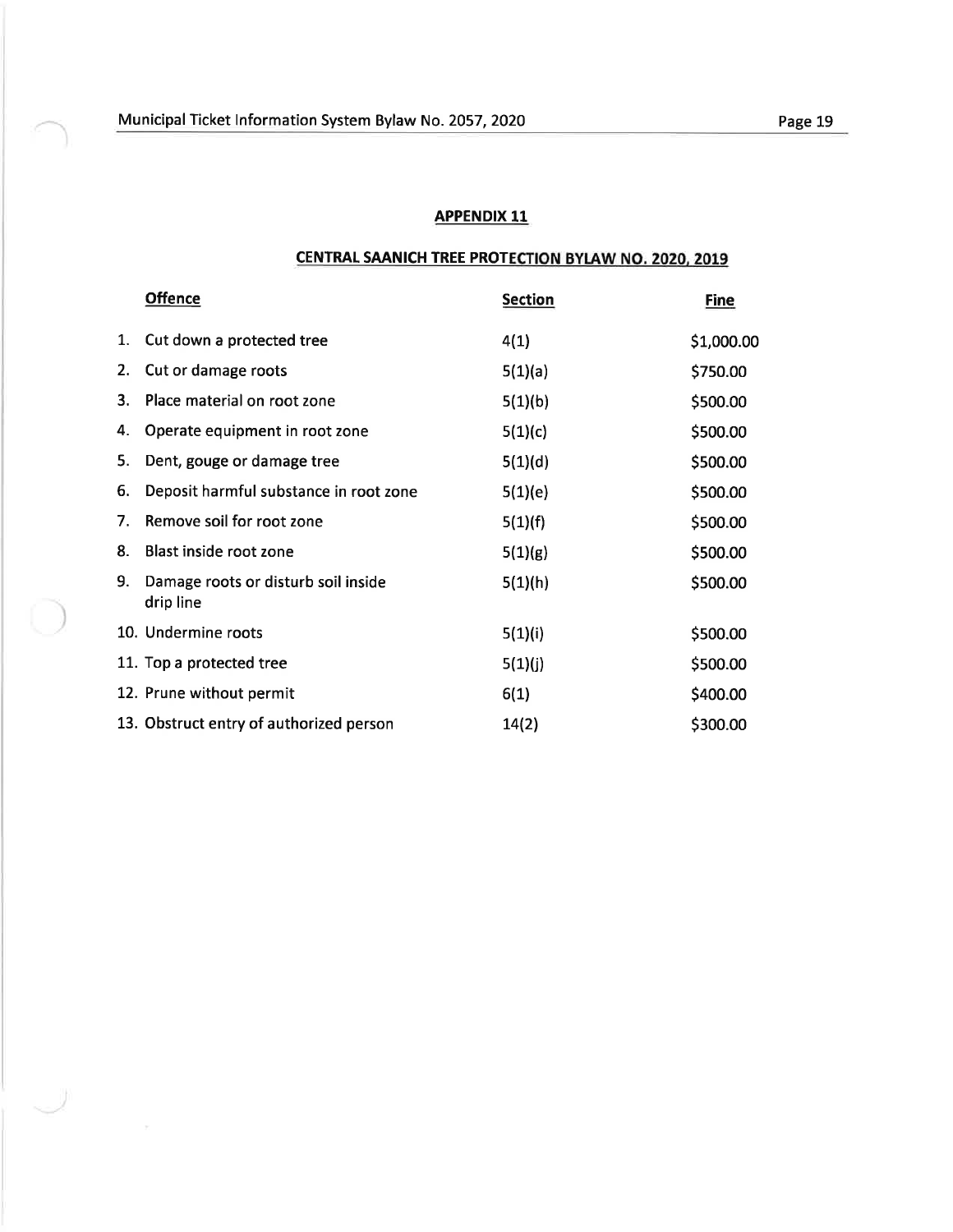$\cup$ 

### APPENDIX 11

### CENTRAL SAANICH TREE PROTECTION BYLAW NO. 2020, 2019

|    | <b>Offence</b>                                   | <b>Section</b> | <b>Fine</b> |
|----|--------------------------------------------------|----------------|-------------|
| 1. | Cut down a protected tree                        | 4(1)           | \$1,000.00  |
| 2. | Cut or damage roots                              | 5(1)(a)        | \$750.00    |
| 3. | Place material on root zone                      | 5(1)(b)        | \$500.00    |
| 4. | Operate equipment in root zone                   | 5(1)(c)        | \$500.00    |
| 5. | Dent, gouge or damage tree                       | 5(1)(d)        | \$500.00    |
| 6. | Deposit harmful substance in root zone           | 5(1)(e)        | \$500.00    |
| 7. | Remove soil for root zone                        | 5(1)(f)        | \$500.00    |
| 8. | Blast inside root zone                           | 5(1)(g)        | \$500.00    |
| 9. | Damage roots or disturb soil inside<br>drip line | 5(1)(h)        | \$500.00    |
|    | 10. Undermine roots                              | 5(1)(i)        | \$500.00    |
|    | 11. Top a protected tree                         | 5(1)(j)        | \$500.00    |
|    | 12. Prune without permit                         | 6(1)           | \$400.00    |
|    | 13. Obstruct entry of authorized person          | 14(2)          | \$300.00    |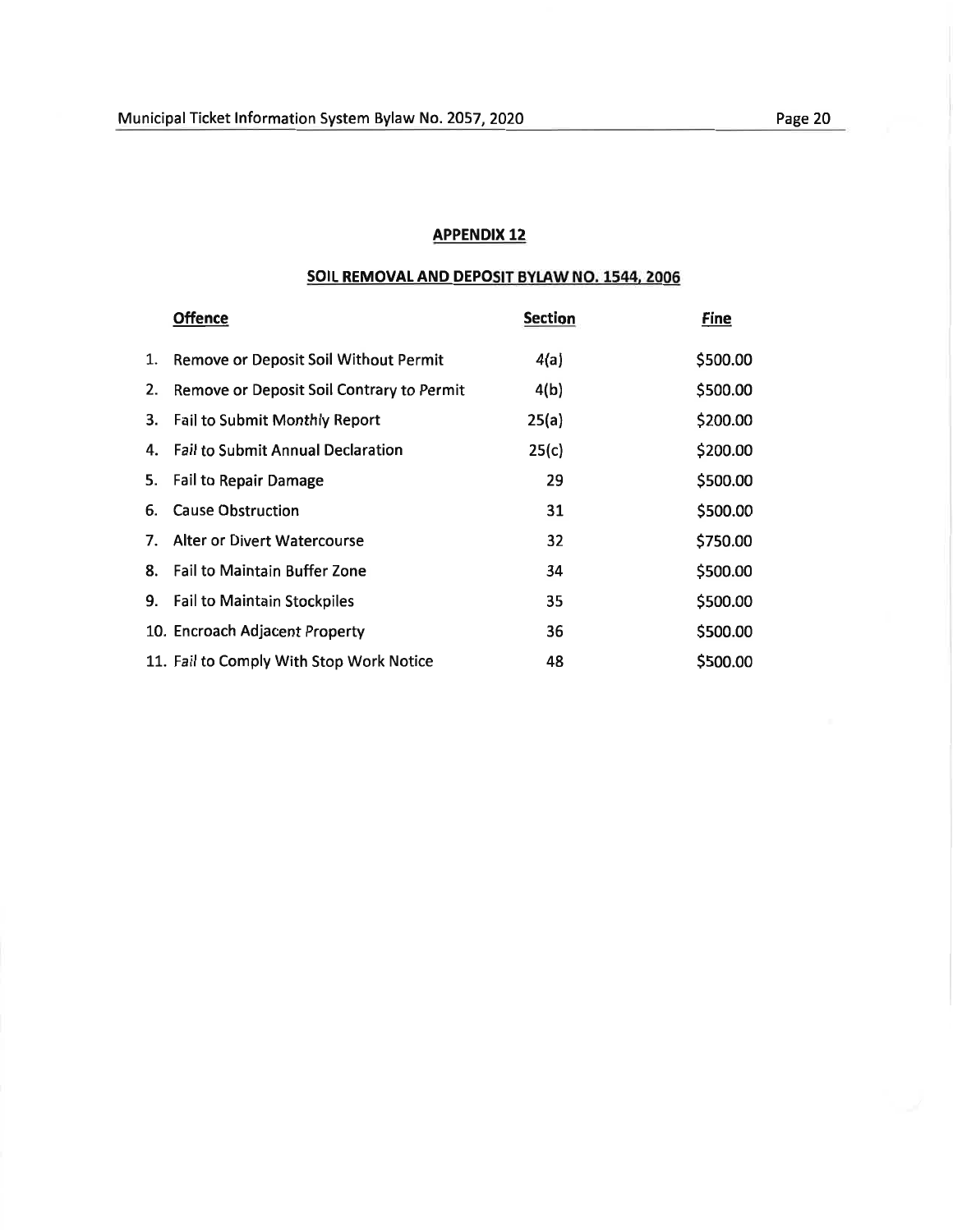### SOIL REMOVAL AND DEPOSIT BYLAW NO. 1544, 2006

|    | <b>Offence</b>                            | <b>Section</b> | Fine     |
|----|-------------------------------------------|----------------|----------|
| 1. | Remove or Deposit Soil Without Permit     | 4(a)           | \$500.00 |
| 2. | Remove or Deposit Soil Contrary to Permit | 4(b)           | \$500.00 |
|    | 3. Fail to Submit Monthly Report          | 25(a)          | \$200.00 |
|    | 4. Fail to Submit Annual Declaration      | 25(c)          | \$200.00 |
|    | 5. Fail to Repair Damage                  | 29             | \$500.00 |
| 6. | <b>Cause Obstruction</b>                  | 31             | \$500.00 |
| 7. | Alter or Divert Watercourse               | 32             | \$750.00 |
| 8. | <b>Fail to Maintain Buffer Zone</b>       | 34             | \$500.00 |
|    | 9. Fail to Maintain Stockpiles            | 35             | \$500.00 |
|    | 10. Encroach Adjacent Property            | 36             | \$500.00 |
|    | 11. Fail to Comply With Stop Work Notice  | 48             | \$500.00 |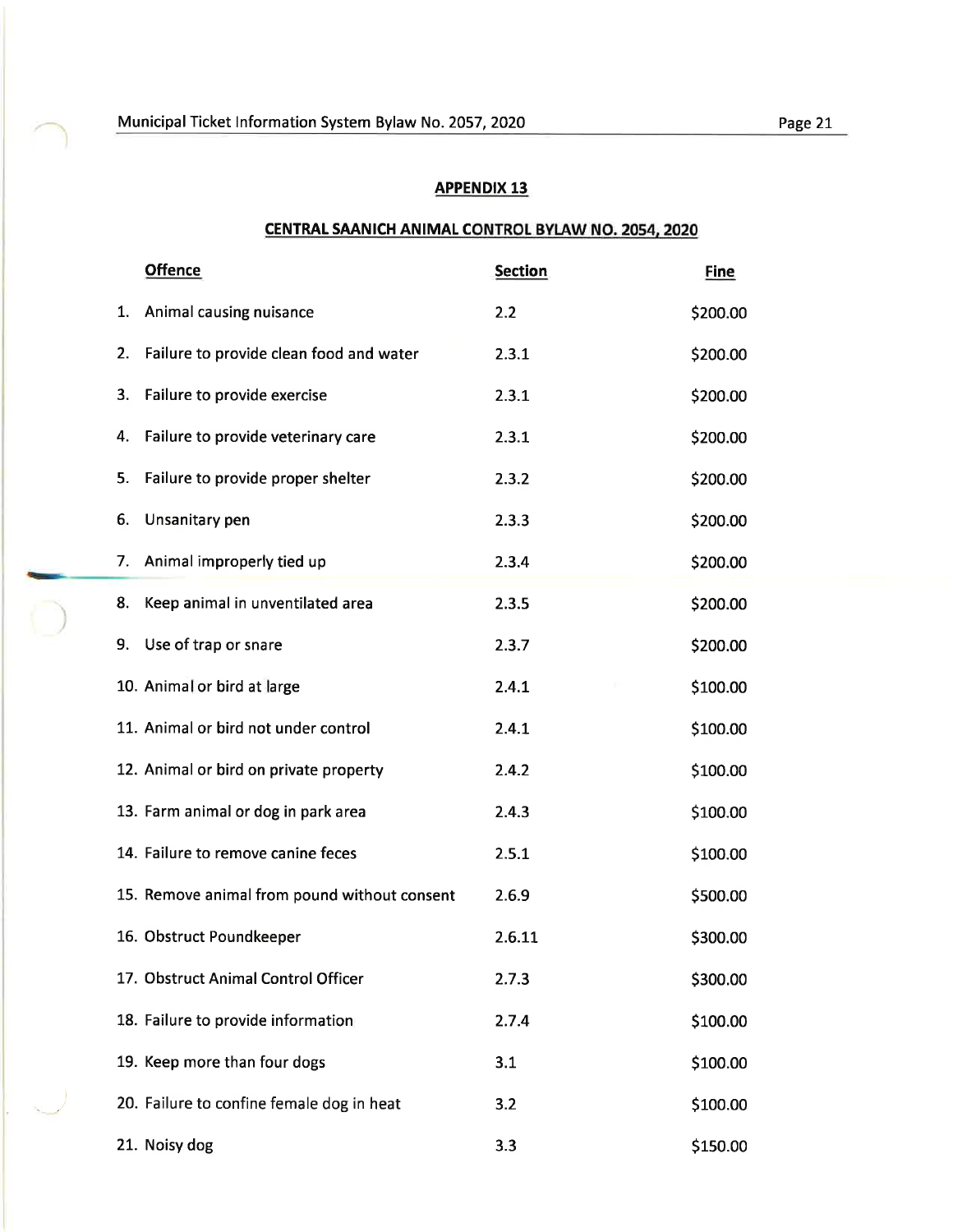$\bigcap$ 

### APPENDIX 13

# CENTRAL SAANICH ANIMAL CONTROL BYLAW NO. 2054, 2020

|    | <b>Offence</b>                               | <b>Section</b> | <b>Fine</b> |
|----|----------------------------------------------|----------------|-------------|
| 1. | Animal causing nuisance                      | 2.2            | \$200.00    |
| 2. | Failure to provide clean food and water      | 2.3.1          | \$200.00    |
| 3. | Failure to provide exercise                  | 2.3.1          | \$200.00    |
| 4. | Failure to provide veterinary care           | 2.3.1          | \$200.00    |
| 5. | Failure to provide proper shelter            | 2.3.2          | \$200.00    |
| 6. | Unsanitary pen                               | 2.3.3          | \$200.00    |
| 7. | Animal improperly tied up                    | 2.3.4          | \$200.00    |
| 8. | Keep animal in unventilated area             | 2.3.5          | \$200.00    |
| 9. | Use of trap or snare                         | 2.3.7          | \$200.00    |
|    | 10. Animal or bird at large                  | 2.4.1          | \$100.00    |
|    | 11. Animal or bird not under control         | 2.4.1          | \$100.00    |
|    | 12. Animal or bird on private property       | 2.4.2          | \$100.00    |
|    | 13. Farm animal or dog in park area          | 2.4.3          | \$100.00    |
|    | 14. Failure to remove canine feces           | 2.5.1          | \$100.00    |
|    | 15. Remove animal from pound without consent | 2.6.9          | \$500.00    |
|    | 16. Obstruct Poundkeeper                     | 2.6.11         | \$300.00    |
|    | 17. Obstruct Animal Control Officer          | 2.7.3          | \$300.00    |
|    | 18. Failure to provide information           | 2.7.4          | \$100.00    |
|    | 19. Keep more than four dogs                 | 3.1            | \$100.00    |
|    | 20. Failure to confine female dog in heat    | 3.2            | \$100.00    |
|    | 21. Noisy dog                                | 3.3            | \$150.00    |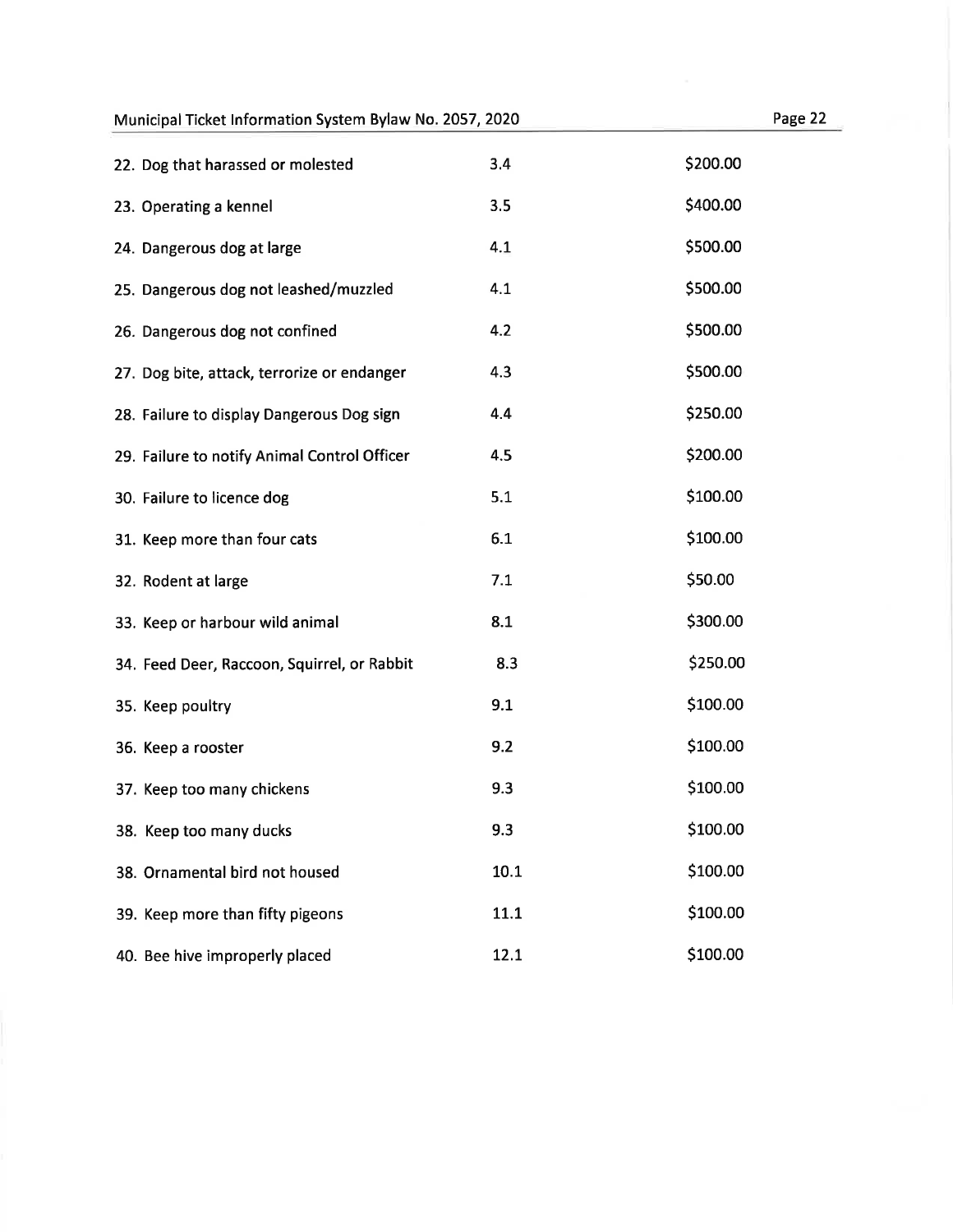### Municipal Ticket Information System Bylaw No. 2057, 2020 **Page 2220** Page

| 22. Dog that harassed or molested            | 3.4  | \$200.00 |
|----------------------------------------------|------|----------|
| 23. Operating a kennel                       | 3.5  | \$400.00 |
| 24. Dangerous dog at large                   | 4.1  | \$500.00 |
| 25. Dangerous dog not leashed/muzzled        | 4.1  | \$500.00 |
| 26. Dangerous dog not confined               | 4.2  | \$500.00 |
| 27. Dog bite, attack, terrorize or endanger  | 4.3  | \$500.00 |
| 28. Failure to display Dangerous Dog sign    | 4.4  | \$250.00 |
| 29. Failure to notify Animal Control Officer | 4.5  | \$200.00 |
| 30. Failure to licence dog                   | 5.1  | \$100.00 |
| 31. Keep more than four cats                 | 6.1  | \$100.00 |
| 32. Rodent at large                          | 7.1  | \$50.00  |
| 33. Keep or harbour wild animal              | 8.1  | \$300.00 |
| 34. Feed Deer, Raccoon, Squirrel, or Rabbit  | 8.3  | \$250.00 |
| 35. Keep poultry                             | 9.1  | \$100.00 |
| 36. Keep a rooster                           | 9.2  | \$100.00 |
| 37. Keep too many chickens                   | 9.3  | \$100.00 |
| 38. Keep too many ducks                      | 9.3  | \$100.00 |
| 38. Ornamental bird not housed               | 10.1 | \$100.00 |
| 39. Keep more than fifty pigeons             | 11.1 | \$100.00 |
| 40. Bee hive improperly placed               | 12.1 | \$100.00 |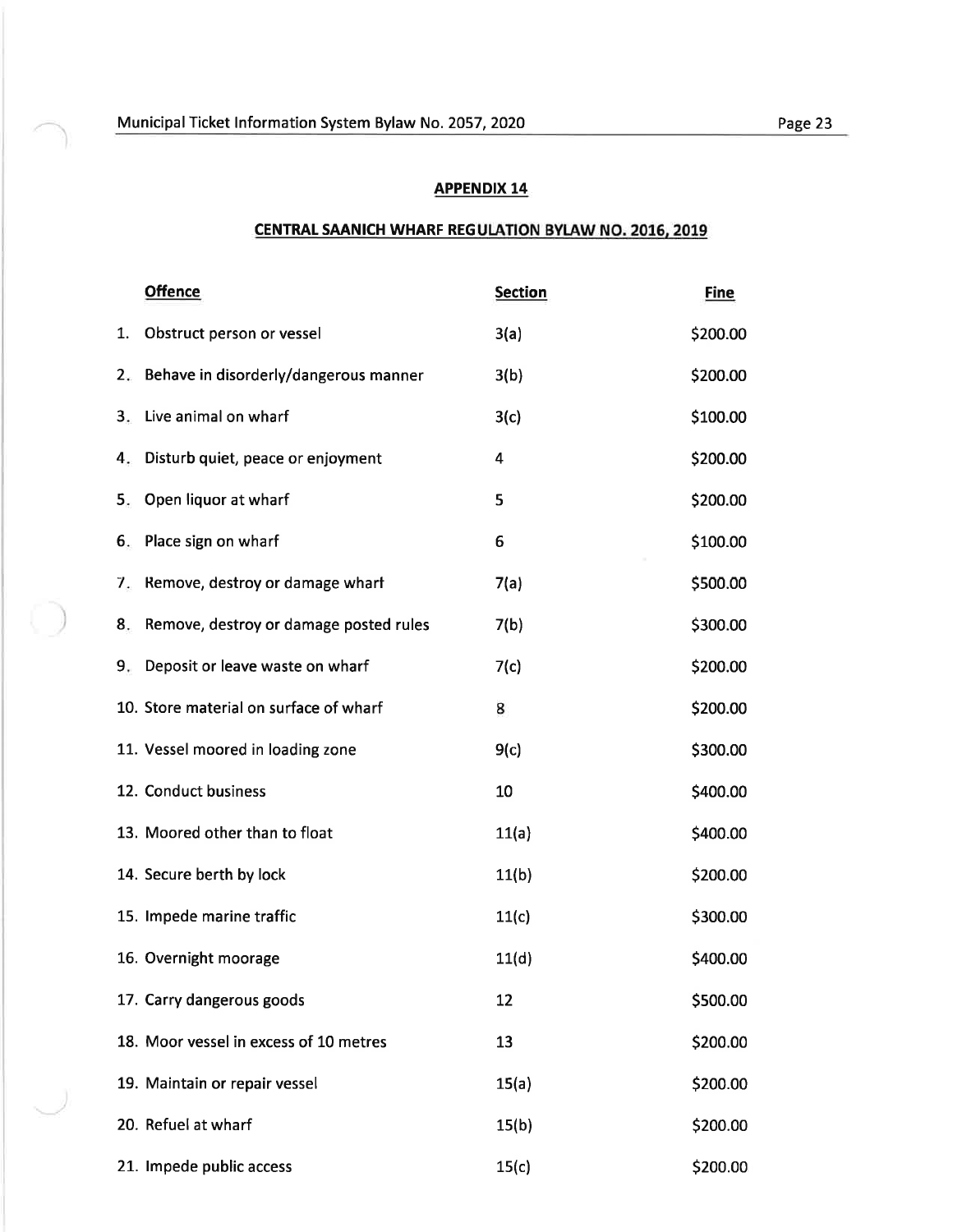# CENTRAL SAANICH WHARF REGULATION BYLAW NO. 2016, 2019

|    | <b>Offence</b>                         | <b>Section</b> | <b>Fine</b> |
|----|----------------------------------------|----------------|-------------|
| 1. | Obstruct person or vessel              | 3(a)           | \$200.00    |
| 2. | Behave in disorderly/dangerous manner  | 3(b)           | \$200.00    |
| 3. | Live animal on wharf                   | 3(c)           | \$100.00    |
| 4. | Disturb quiet, peace or enjoyment      | 4              | \$200.00    |
| 5. | Open liquor at wharf                   | 5              | \$200.00    |
| 6. | Place sign on wharf                    | 6              | \$100.00    |
| 7. | Remove, destroy or damage whart        | 7(a)           | \$500.00    |
| 8. | Remove, destroy or damage posted rules | 7(b)           | \$300.00    |
| 9. | Deposit or leave waste on wharf        | 7(c)           | \$200.00    |
|    | 10. Store material on surface of wharf | 8              | \$200.00    |
|    | 11. Vessel moored in loading zone      | 9(c)           | \$300.00    |
|    | 12. Conduct business                   | 10             | \$400.00    |
|    | 13. Moored other than to float         | 11(a)          | \$400.00    |
|    | 14. Secure berth by lock               | 11(b)          | \$200.00    |
|    | 15. Impede marine traffic              | 11(c)          | \$300.00    |
|    | 16. Overnight moorage                  | 11(d)          | \$400.00    |
|    | 17. Carry dangerous goods              | 12             | \$500.00    |
|    | 18. Moor vessel in excess of 10 metres | 13             | \$200.00    |
|    | 19. Maintain or repair vessel          | 15(a)          | \$200.00    |
|    | 20. Refuel at wharf                    | 15(b)          | \$200.00    |
|    | 21. Impede public access               | 15(c)          | \$200.00    |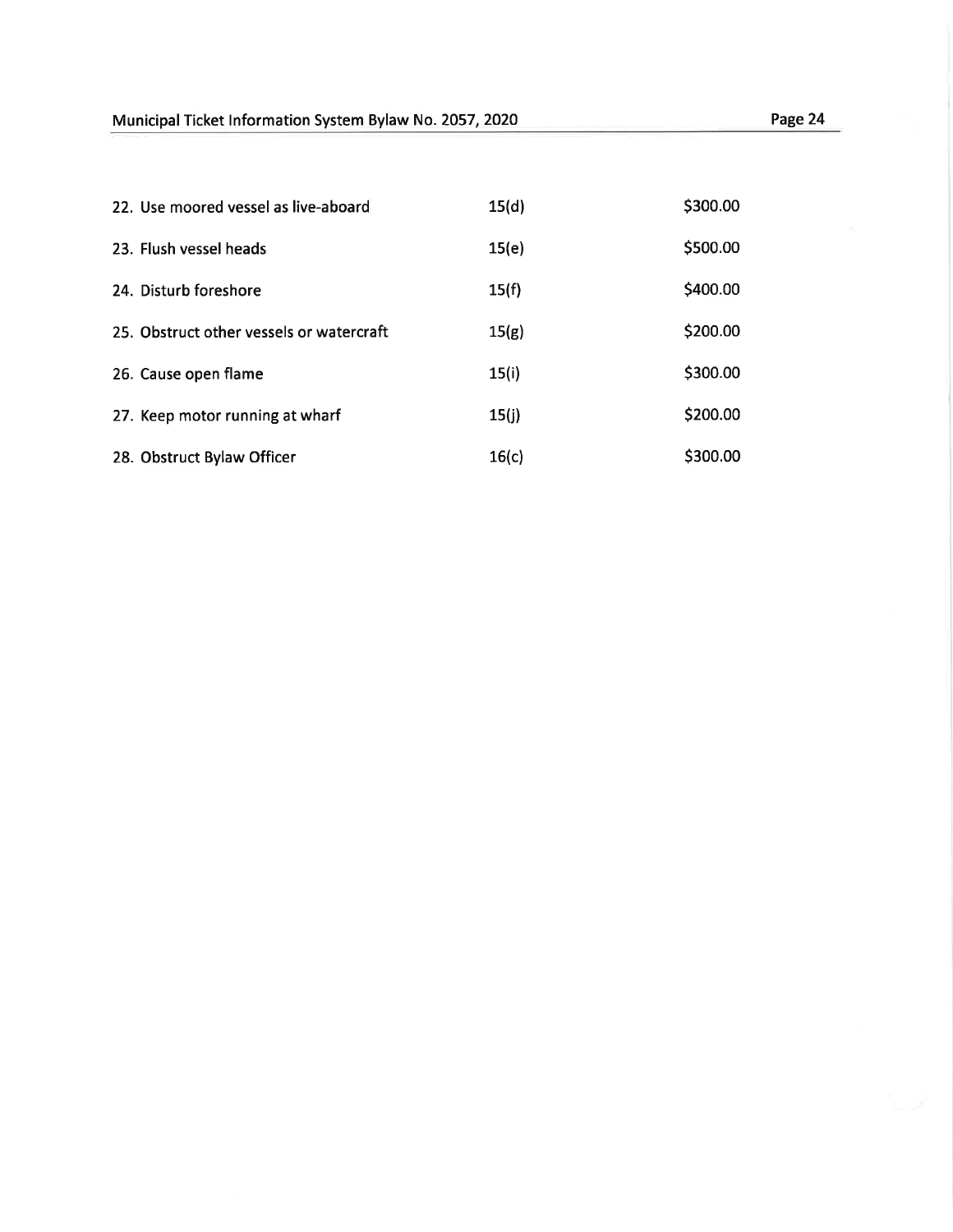| 22. Use moored vessel as live-aboard     | 15(d) | \$300.00 |
|------------------------------------------|-------|----------|
| 23. Flush vessel heads                   | 15(e) | \$500.00 |
| 24. Disturb foreshore                    | 15(f) | \$400.00 |
| 25. Obstruct other vessels or watercraft | 15(g) | \$200.00 |
| 26. Cause open flame                     | 15(i) | \$300.00 |
| 27. Keep motor running at wharf          | 15(j) | \$200.00 |
| 28. Obstruct Bylaw Officer               | 16(c) | \$300.00 |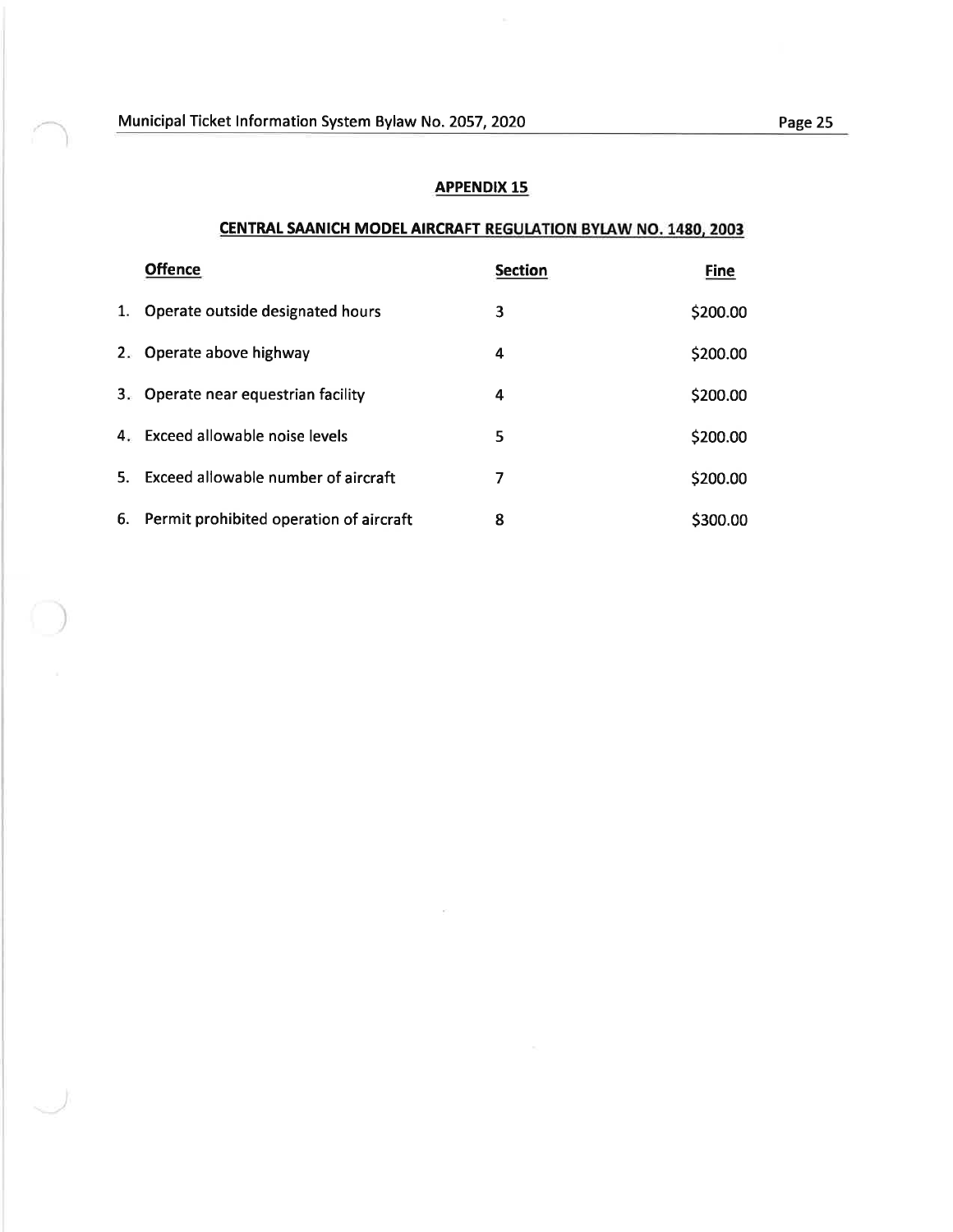### CENTRAL SAANICH MODEL AIRCRAFT REGULATION BYLAW NO. 1480, 2003

|                | <b>Offence</b>                          | <b>Section</b> | <b>Fine</b> |
|----------------|-----------------------------------------|----------------|-------------|
| 1.             | Operate outside designated hours        | 3              | \$200.00    |
| $2 -$          | Operate above highway                   | 4              | \$200.00    |
| 3 <sub>r</sub> | Operate near equestrian facility        | 4              | \$200.00    |
| 4.             | Exceed allowable noise levels           | 5              | \$200.00    |
| 5.             | Exceed allowable number of aircraft     | 7              | \$200.00    |
| 6.             | Permit prohibited operation of aircraft | 8              | \$300.00    |

 $\kappa$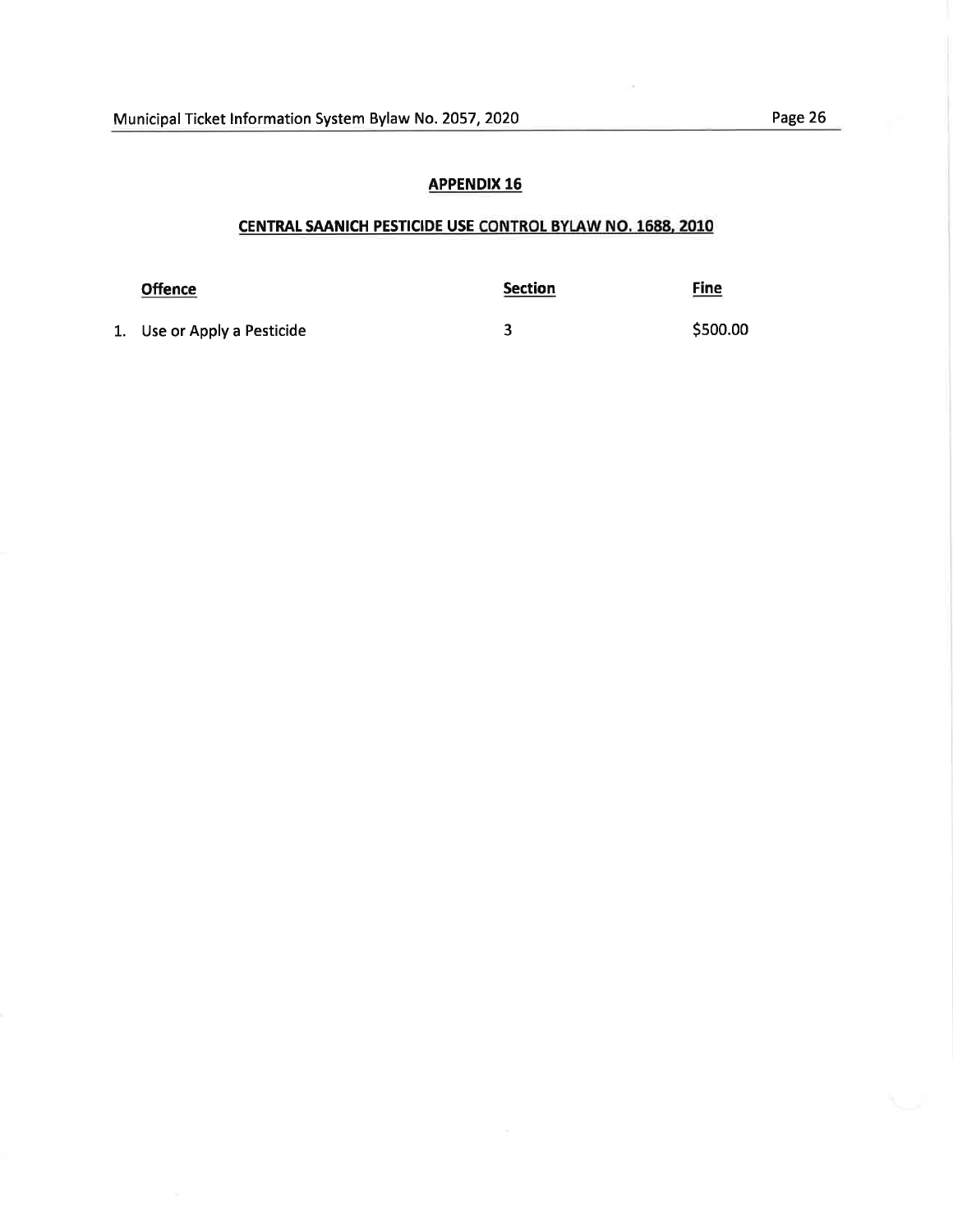# CENTRAL SAANICH PESTICIDE USE CONTROL BYLAW NO. 1688, 2010

| <b>Offence</b>              | <b>Section</b> | <u>Fine</u> |
|-----------------------------|----------------|-------------|
| 1. Use or Apply a Pesticide |                | \$500.00    |